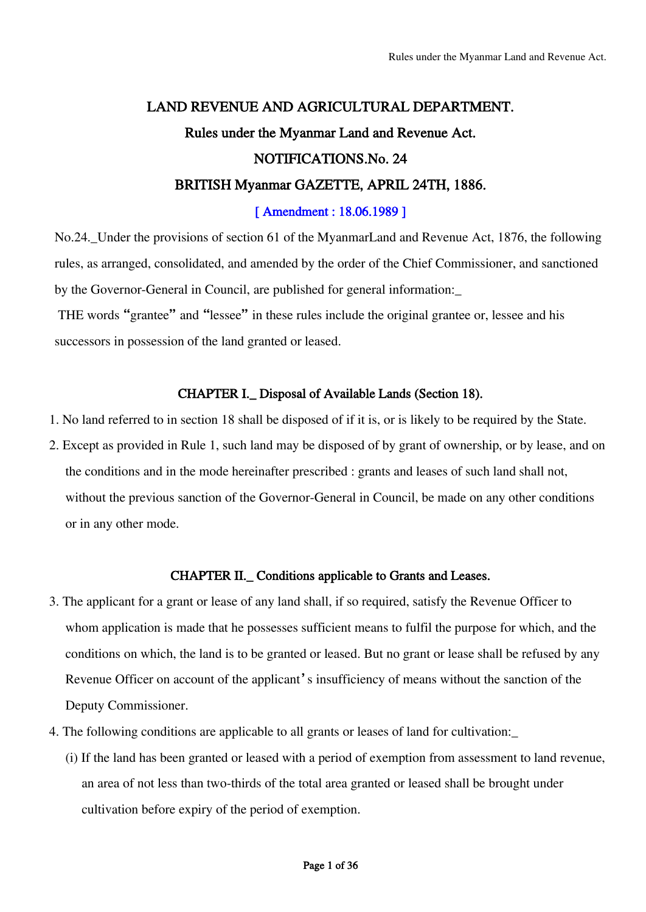# LAND REVENUE AND AGRICULTURAL DEPARTMENT. Rules under the Myanmar Land and Revenue Act. NOTIFICATIONS.No. 24 BRITISH Myanmar GAZETTE, APRIL 24TH, 1886.

# [ Amendment : 18.06.1989 ]

No.24.\_Under the provisions of section 61 of the MyanmarLand and Revenue Act, 1876, the following rules, as arranged, consolidated, and amended by the order of the Chief Commissioner, and sanctioned by the Governor-General in Council, are published for general information:\_

THE words "grantee" and "lessee" in these rules include the original grantee or, lessee and his successors in possession of the land granted or leased.

# CHAPTER I.\_ Disposal of Available Lands (Section 18).

- 1. No land referred to in section 18 shall be disposed of if it is, or is likely to be required by the State.
- 2. Except as provided in Rule 1, such land may be disposed of by grant of ownership, or by lease, and on the conditions and in the mode hereinafter prescribed : grants and leases of such land shall not, without the previous sanction of the Governor-General in Council, be made on any other conditions or in any other mode.

# CHAPTER II.\_ Conditions applicable to Grants and Leases.

- 3. The applicant for a grant or lease of any land shall, if so required, satisfy the Revenue Officer to whom application is made that he possesses sufficient means to fulfil the purpose for which, and the conditions on which, the land is to be granted or leased. But no grant or lease shall be refused by any Revenue Officer on account of the applicant's insufficiency of means without the sanction of the Deputy Commissioner.
- 4. The following conditions are applicable to all grants or leases of land for cultivation:\_
	- (i) If the land has been granted or leased with a period of exemption from assessment to land revenue, an area of not less than two-thirds of the total area granted or leased shall be brought under cultivation before expiry of the period of exemption.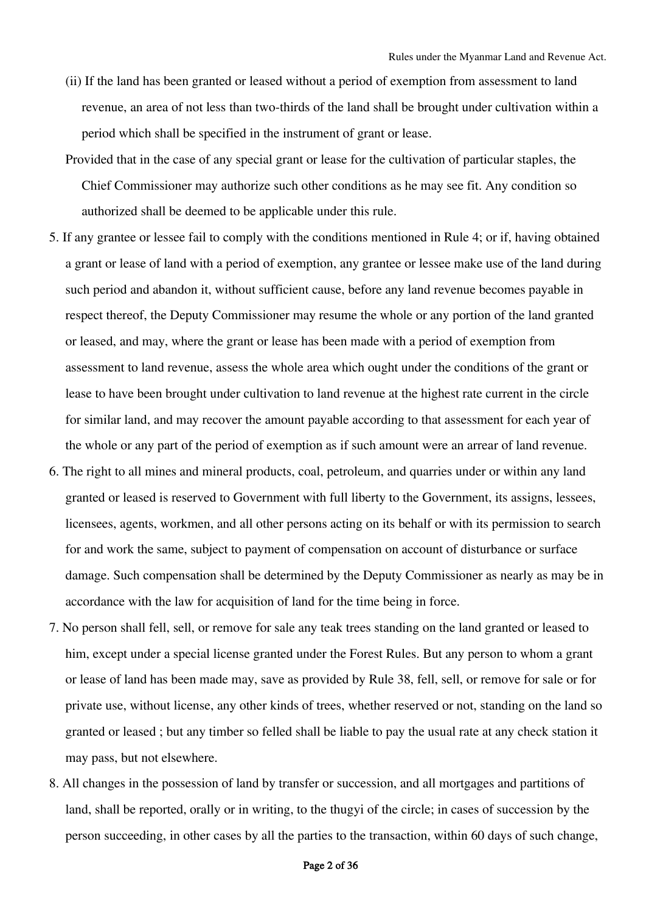- (ii) If the land has been granted or leased without a period of exemption from assessment to land revenue, an area of not less than two-thirds of the land shall be brought under cultivation within a period which shall be specified in the instrument of grant or lease.
- Provided that in the case of any special grant or lease for the cultivation of particular staples, the Chief Commissioner may authorize such other conditions as he may see fit. Any condition so authorized shall be deemed to be applicable under this rule.
- 5. If any grantee or lessee fail to comply with the conditions mentioned in Rule 4; or if, having obtained a grant or lease of land with a period of exemption, any grantee or lessee make use of the land during such period and abandon it, without sufficient cause, before any land revenue becomes payable in respect thereof, the Deputy Commissioner may resume the whole or any portion of the land granted or leased, and may, where the grant or lease has been made with a period of exemption from assessment to land revenue, assess the whole area which ought under the conditions of the grant or lease to have been brought under cultivation to land revenue at the highest rate current in the circle for similar land, and may recover the amount payable according to that assessment for each year of the whole or any part of the period of exemption as if such amount were an arrear of land revenue.
- 6. The right to all mines and mineral products, coal, petroleum, and quarries under or within any land granted or leased is reserved to Government with full liberty to the Government, its assigns, lessees, licensees, agents, workmen, and all other persons acting on its behalf or with its permission to search for and work the same, subject to payment of compensation on account of disturbance or surface damage. Such compensation shall be determined by the Deputy Commissioner as nearly as may be in accordance with the law for acquisition of land for the time being in force.
- 7. No person shall fell, sell, or remove for sale any teak trees standing on the land granted or leased to him, except under a special license granted under the Forest Rules. But any person to whom a grant or lease of land has been made may, save as provided by Rule 38, fell, sell, or remove for sale or for private use, without license, any other kinds of trees, whether reserved or not, standing on the land so granted or leased ; but any timber so felled shall be liable to pay the usual rate at any check station it may pass, but not elsewhere.
- 8. All changes in the possession of land by transfer or succession, and all mortgages and partitions of land, shall be reported, orally or in writing, to the thugyi of the circle; in cases of succession by the person succeeding, in other cases by all the parties to the transaction, within 60 days of such change,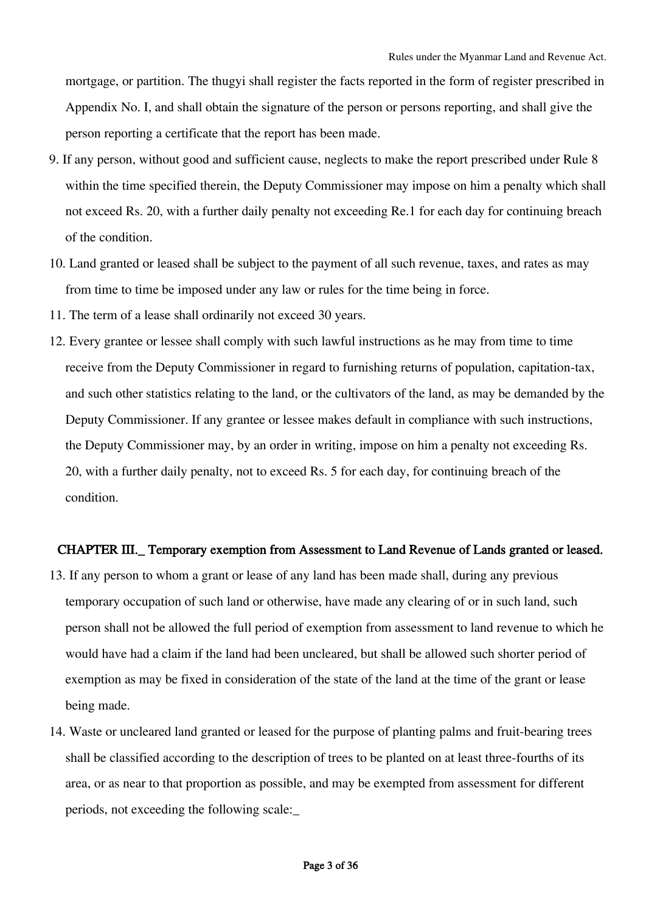mortgage, or partition. The thugyi shall register the facts reported in the form of register prescribed in Appendix No. I, and shall obtain the signature of the person or persons reporting, and shall give the person reporting a certificate that the report has been made.

- 9. If any person, without good and sufficient cause, neglects to make the report prescribed under Rule 8 within the time specified therein, the Deputy Commissioner may impose on him a penalty which shall not exceed Rs. 20, with a further daily penalty not exceeding Re.1 for each day for continuing breach of the condition.
- 10. Land granted or leased shall be subject to the payment of all such revenue, taxes, and rates as may from time to time be imposed under any law or rules for the time being in force.
- 11. The term of a lease shall ordinarily not exceed 30 years.
- 12. Every grantee or lessee shall comply with such lawful instructions as he may from time to time receive from the Deputy Commissioner in regard to furnishing returns of population, capitation-tax, and such other statistics relating to the land, or the cultivators of the land, as may be demanded by the Deputy Commissioner. If any grantee or lessee makes default in compliance with such instructions, the Deputy Commissioner may, by an order in writing, impose on him a penalty not exceeding Rs. 20, with a further daily penalty, not to exceed Rs. 5 for each day, for continuing breach of the condition.

#### CHAPTER III.\_ Temporary exemption from Assessment to Land Revenue of Lands granted or leased.

- 13. If any person to whom a grant or lease of any land has been made shall, during any previous temporary occupation of such land or otherwise, have made any clearing of or in such land, such person shall not be allowed the full period of exemption from assessment to land revenue to which he would have had a claim if the land had been uncleared, but shall be allowed such shorter period of exemption as may be fixed in consideration of the state of the land at the time of the grant or lease being made.
- 14. Waste or uncleared land granted or leased for the purpose of planting palms and fruit-bearing trees shall be classified according to the description of trees to be planted on at least three-fourths of its area, or as near to that proportion as possible, and may be exempted from assessment for different periods, not exceeding the following scale:\_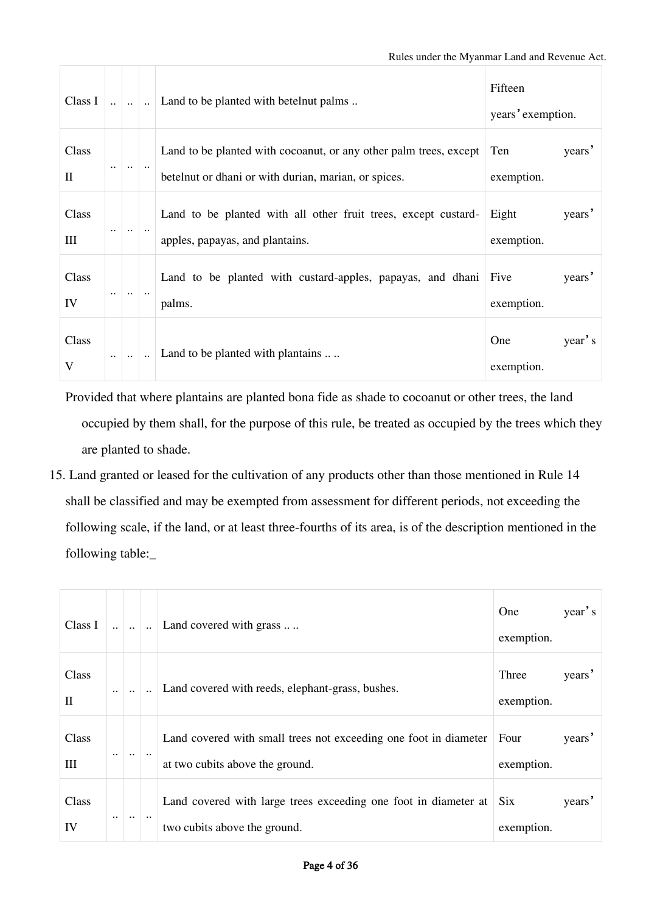| Class I               |                           | $\ldots$ $\ldots$ | Land to be planted with betelnut palms                                                                                    | Fifteen<br>years' exemption. |        |  |
|-----------------------|---------------------------|-------------------|---------------------------------------------------------------------------------------------------------------------------|------------------------------|--------|--|
| Class<br>$\mathbf{I}$ | $\ddotsc$                 | $\ddotsc$         | Land to be planted with cocoanut, or any other palm trees, except<br>betelnut or dhani or with durian, marian, or spices. | Ten<br>exemption.            | years' |  |
| Class<br>III          | $\ddotsc$                 | $\ddotsc$         | Land to be planted with all other fruit trees, except custard-<br>apples, papayas, and plantains.                         | Eight<br>exemption.          | years' |  |
| Class<br>IV           | $\ddot{\phantom{0}}\cdot$ |                   | Land to be planted with custard-apples, papayas, and dhani<br>palms.                                                      | Five<br>exemption.           | years' |  |
| Class<br>V            |                           |                   | Land to be planted with plantains                                                                                         | One<br>exemption.            | year's |  |

Provided that where plantains are planted bona fide as shade to cocoanut or other trees, the land occupied by them shall, for the purpose of this rule, be treated as occupied by the trees which they are planted to shade.

15. Land granted or leased for the cultivation of any products other than those mentioned in Rule 14 shall be classified and may be exempted from assessment for different periods, not exceeding the following scale, if the land, or at least three-fourths of its area, is of the description mentioned in the following table:\_

| Class I               |                      |           | $\ddot{\phantom{a}}$ | Land covered with grass                                                                             | One<br>exemption.   | year's |
|-----------------------|----------------------|-----------|----------------------|-----------------------------------------------------------------------------------------------------|---------------------|--------|
| Class<br>$\mathbf{I}$ | $\ddot{\phantom{a}}$ |           |                      | Land covered with reeds, elephant-grass, bushes.                                                    | Three<br>exemption. | years' |
| Class<br>Ш            | $\ddotsc$            | $\ddotsc$ | $\ddotsc$            | Land covered with small trees not exceeding one foot in diameter<br>at two cubits above the ground. | Four<br>exemption.  | years' |
| Class<br>IV           | $\cdot$ .            | $\ddotsc$ | $\ddot{\phantom{0}}$ | Land covered with large trees exceeding one foot in diameter at<br>two cubits above the ground.     | Six<br>exemption.   | years' |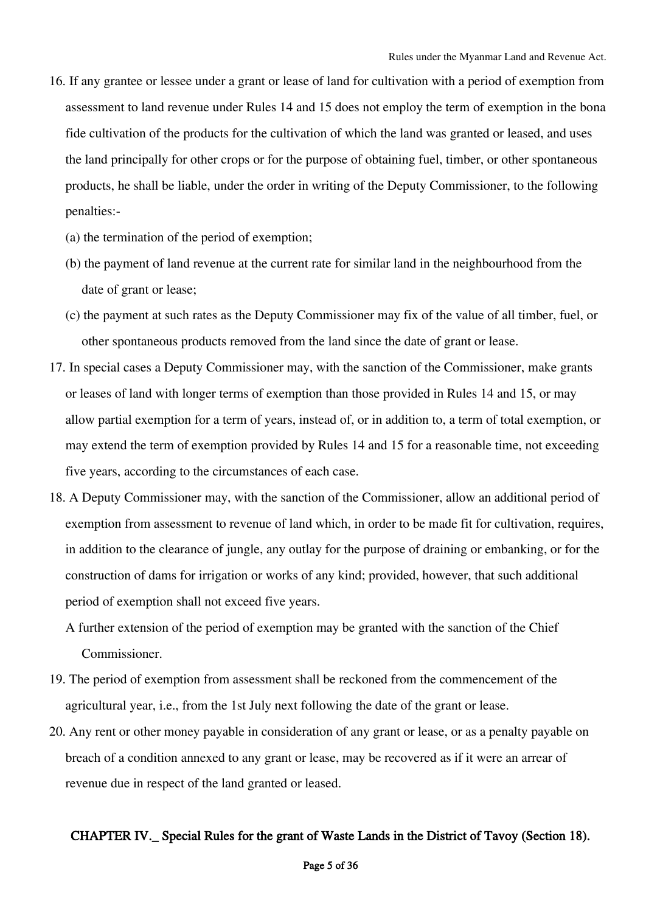- 16. If any grantee or lessee under a grant or lease of land for cultivation with a period of exemption from assessment to land revenue under Rules 14 and 15 does not employ the term of exemption in the bona fide cultivation of the products for the cultivation of which the land was granted or leased, and uses the land principally for other crops or for the purpose of obtaining fuel, timber, or other spontaneous products, he shall be liable, under the order in writing of the Deputy Commissioner, to the following penalties:-
	- (a) the termination of the period of exemption;
	- (b) the payment of land revenue at the current rate for similar land in the neighbourhood from the date of grant or lease;
	- (c) the payment at such rates as the Deputy Commissioner may fix of the value of all timber, fuel, or other spontaneous products removed from the land since the date of grant or lease.
- 17. In special cases a Deputy Commissioner may, with the sanction of the Commissioner, make grants or leases of land with longer terms of exemption than those provided in Rules 14 and 15, or may allow partial exemption for a term of years, instead of, or in addition to, a term of total exemption, or may extend the term of exemption provided by Rules 14 and 15 for a reasonable time, not exceeding five years, according to the circumstances of each case.
- 18. A Deputy Commissioner may, with the sanction of the Commissioner, allow an additional period of exemption from assessment to revenue of land which, in order to be made fit for cultivation, requires, in addition to the clearance of jungle, any outlay for the purpose of draining or embanking, or for the construction of dams for irrigation or works of any kind; provided, however, that such additional period of exemption shall not exceed five years.
	- A further extension of the period of exemption may be granted with the sanction of the Chief Commissioner.
- 19. The period of exemption from assessment shall be reckoned from the commencement of the agricultural year, i.e., from the 1st July next following the date of the grant or lease.
- 20. Any rent or other money payable in consideration of any grant or lease, or as a penalty payable on breach of a condition annexed to any grant or lease, may be recovered as if it were an arrear of revenue due in respect of the land granted or leased.

# CHAPTER IV.\_ Special Rules for the grant of Waste Lands in the District of Tavoy (Section 18).

### Page 5 of 36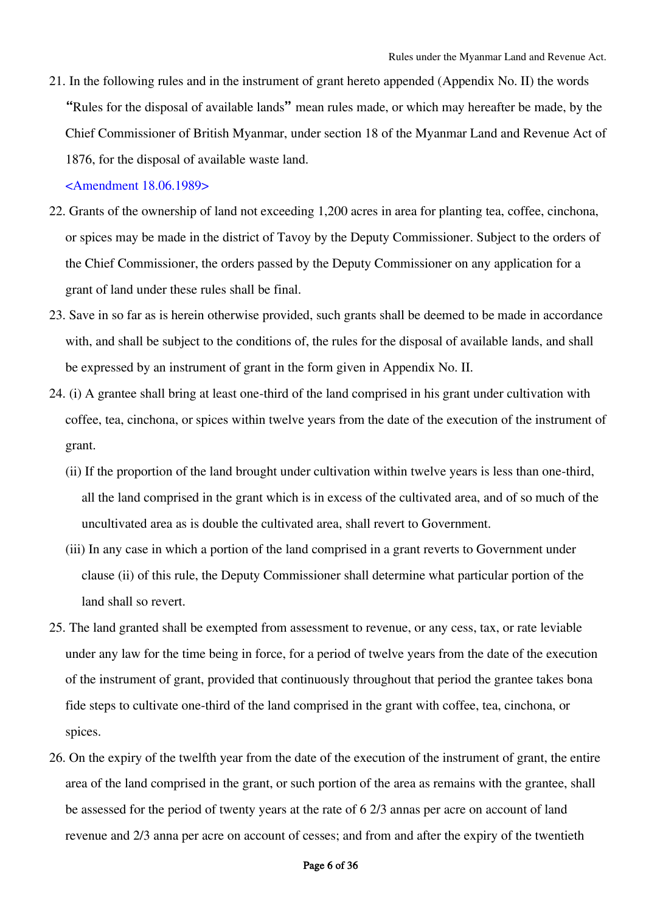21. In the following rules and in the instrument of grant hereto appended (Appendix No. II) the words "Rules for the disposal of available lands" mean rules made, or which may hereafter be made, by the Chief Commissioner of British Myanmar, under section 18 of the Myanmar Land and Revenue Act of 1876, for the disposal of available waste land.

## <Amendment 18.06.1989>

- 22. Grants of the ownership of land not exceeding 1,200 acres in area for planting tea, coffee, cinchona, or spices may be made in the district of Tavoy by the Deputy Commissioner. Subject to the orders of the Chief Commissioner, the orders passed by the Deputy Commissioner on any application for a grant of land under these rules shall be final.
- 23. Save in so far as is herein otherwise provided, such grants shall be deemed to be made in accordance with, and shall be subject to the conditions of, the rules for the disposal of available lands, and shall be expressed by an instrument of grant in the form given in Appendix No. II.
- 24. (i) A grantee shall bring at least one-third of the land comprised in his grant under cultivation with coffee, tea, cinchona, or spices within twelve years from the date of the execution of the instrument of grant.
	- (ii) If the proportion of the land brought under cultivation within twelve years is less than one-third, all the land comprised in the grant which is in excess of the cultivated area, and of so much of the uncultivated area as is double the cultivated area, shall revert to Government.
	- (iii) In any case in which a portion of the land comprised in a grant reverts to Government under clause (ii) of this rule, the Deputy Commissioner shall determine what particular portion of the land shall so revert.
- 25. The land granted shall be exempted from assessment to revenue, or any cess, tax, or rate leviable under any law for the time being in force, for a period of twelve years from the date of the execution of the instrument of grant, provided that continuously throughout that period the grantee takes bona fide steps to cultivate one-third of the land comprised in the grant with coffee, tea, cinchona, or spices.
- 26. On the expiry of the twelfth year from the date of the execution of the instrument of grant, the entire area of the land comprised in the grant, or such portion of the area as remains with the grantee, shall be assessed for the period of twenty years at the rate of 6 2/3 annas per acre on account of land revenue and 2/3 anna per acre on account of cesses; and from and after the expiry of the twentieth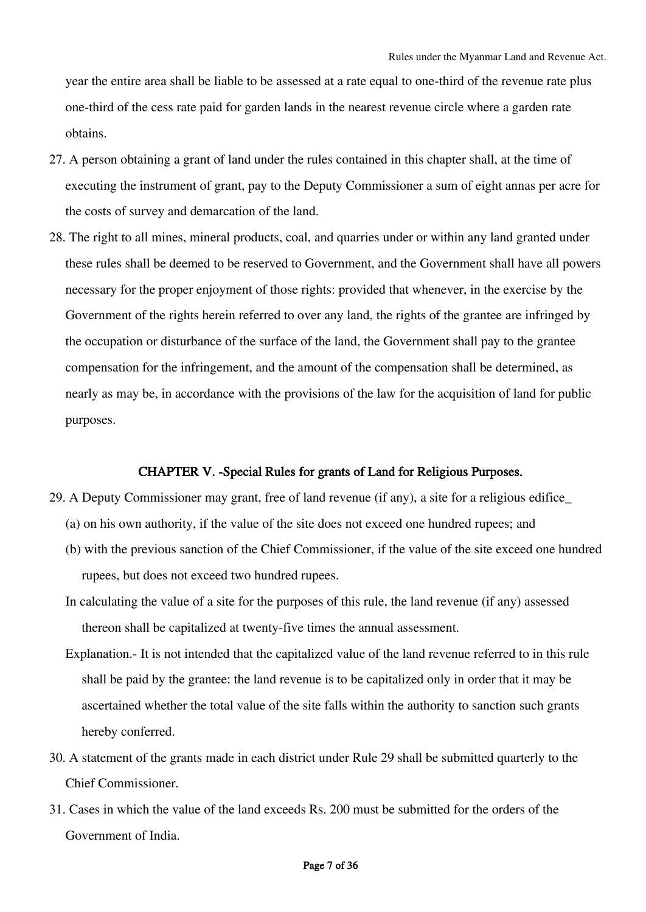year the entire area shall be liable to be assessed at a rate equal to one-third of the revenue rate plus one-third of the cess rate paid for garden lands in the nearest revenue circle where a garden rate obtains.

- 27. A person obtaining a grant of land under the rules contained in this chapter shall, at the time of executing the instrument of grant, pay to the Deputy Commissioner a sum of eight annas per acre for the costs of survey and demarcation of the land.
- 28. The right to all mines, mineral products, coal, and quarries under or within any land granted under these rules shall be deemed to be reserved to Government, and the Government shall have all powers necessary for the proper enjoyment of those rights: provided that whenever, in the exercise by the Government of the rights herein referred to over any land, the rights of the grantee are infringed by the occupation or disturbance of the surface of the land, the Government shall pay to the grantee compensation for the infringement, and the amount of the compensation shall be determined, as nearly as may be, in accordance with the provisions of the law for the acquisition of land for public purposes.

### CHAPTER V. -Special Rules for grants of Land for Religious Purposes.

- 29. A Deputy Commissioner may grant, free of land revenue (if any), a site for a religious edifice\_
	- (a) on his own authority, if the value of the site does not exceed one hundred rupees; and
	- (b) with the previous sanction of the Chief Commissioner, if the value of the site exceed one hundred rupees, but does not exceed two hundred rupees.
	- In calculating the value of a site for the purposes of this rule, the land revenue (if any) assessed thereon shall be capitalized at twenty-five times the annual assessment.
	- Explanation.- It is not intended that the capitalized value of the land revenue referred to in this rule shall be paid by the grantee: the land revenue is to be capitalized only in order that it may be ascertained whether the total value of the site falls within the authority to sanction such grants hereby conferred.
- 30. A statement of the grants made in each district under Rule 29 shall be submitted quarterly to the Chief Commissioner.
- 31. Cases in which the value of the land exceeds Rs. 200 must be submitted for the orders of the Government of India.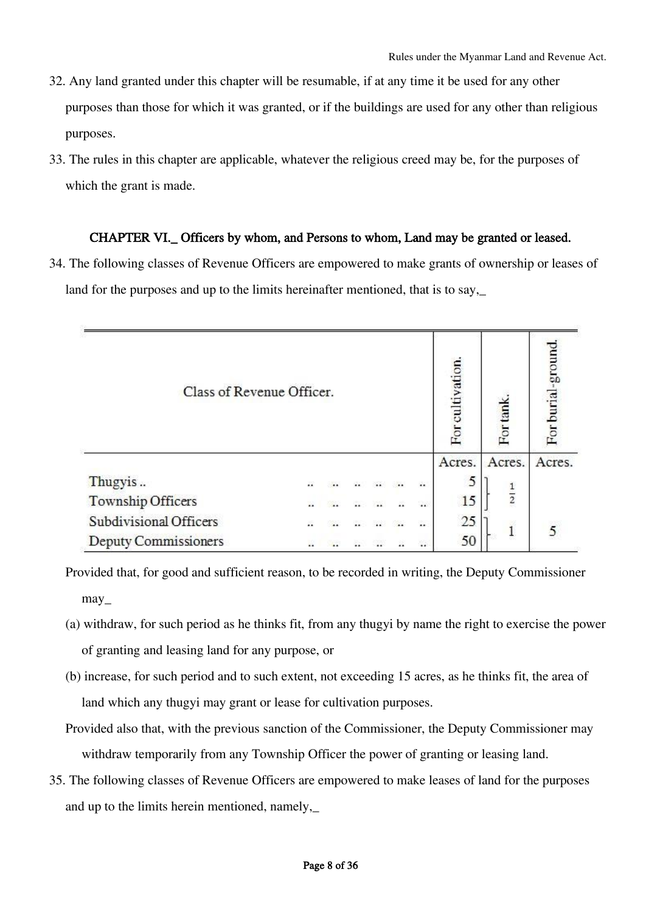- 32. Any land granted under this chapter will be resumable, if at any time it be used for any other purposes than those for which it was granted, or if the buildings are used for any other than religious purposes.
- 33. The rules in this chapter are applicable, whatever the religious creed may be, for the purposes of which the grant is made.

# CHAPTER VI.\_ Officers by whom, and Persons to whom, Land may be granted or leased.

34. The following classes of Revenue Officers are empowered to make grants of ownership or leases of land for the purposes and up to the limits hereinafter mentioned, that is to say,\_

| Class of Revenue Officer.                                   |    |  |  |  |    |                   | For cultivation. | For tan       | For burial-ground |
|-------------------------------------------------------------|----|--|--|--|----|-------------------|------------------|---------------|-------------------|
|                                                             |    |  |  |  |    |                   | Acres.           | Acres.        | Acres.            |
| Thugyis                                                     | ä. |  |  |  |    | ä.                | 5                |               |                   |
| Township Officers                                           |    |  |  |  | ă. | $\dddot{\bullet}$ | 15               | $\frac{1}{2}$ |                   |
| Subdivisional Officers<br>÷.<br>ă.<br>$\dddot{\phantom{1}}$ |    |  |  |  |    |                   | 25               |               |                   |
| Deputy Commissioners                                        | a  |  |  |  | a. | X.                | 50               | 1             |                   |

- Provided that, for good and sufficient reason, to be recorded in writing, the Deputy Commissioner may\_
- (a) withdraw, for such period as he thinks fit, from any thugyi by name the right to exercise the power of granting and leasing land for any purpose, or
- (b) increase, for such period and to such extent, not exceeding 15 acres, as he thinks fit, the area of land which any thugyi may grant or lease for cultivation purposes.
- Provided also that, with the previous sanction of the Commissioner, the Deputy Commissioner may withdraw temporarily from any Township Officer the power of granting or leasing land.
- 35. The following classes of Revenue Officers are empowered to make leases of land for the purposes and up to the limits herein mentioned, namely,\_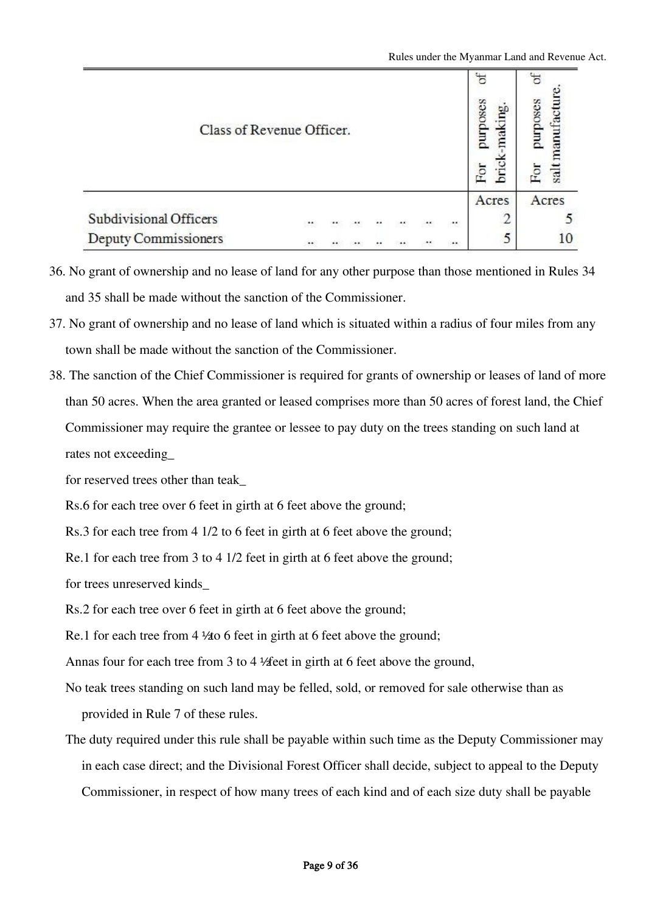| Class of Revenue Officer.                                |  |  |  |  |  |  |          | ð<br>purposes<br>Ing.<br>iak<br>Э.<br>For | asodmc<br>ranufacı<br>salt |
|----------------------------------------------------------|--|--|--|--|--|--|----------|-------------------------------------------|----------------------------|
|                                                          |  |  |  |  |  |  |          | Acres                                     | Acres                      |
| Subdivisional Officers<br>$\sim$<br>$\ddot{\phantom{0}}$ |  |  |  |  |  |  |          |                                           |                            |
| <b>Deputy Commissioners</b>                              |  |  |  |  |  |  | $\cdots$ |                                           |                            |

- 36. No grant of ownership and no lease of land for any other purpose than those mentioned in Rules 34 and 35 shall be made without the sanction of the Commissioner.
- 37. No grant of ownership and no lease of land which is situated within a radius of four miles from any town shall be made without the sanction of the Commissioner.
- 38. The sanction of the Chief Commissioner is required for grants of ownership or leases of land of more than 50 acres. When the area granted or leased comprises more than 50 acres of forest land, the Chief Commissioner may require the grantee or lessee to pay duty on the trees standing on such land at rates not exceeding\_
	- for reserved trees other than teak\_

Rs.6 for each tree over 6 feet in girth at 6 feet above the ground;

Rs.3 for each tree from 4 1/2 to 6 feet in girth at 6 feet above the ground;

Re.1 for each tree from 3 to 4 1/2 feet in girth at 6 feet above the ground;

for trees unreserved kinds\_

Rs.2 for each tree over 6 feet in girth at 6 feet above the ground;

Re.1 for each tree from 4  $\frac{1}{40}$  6 feet in girth at 6 feet above the ground;

Annas four for each tree from 3 to 4  $\frac{1}{2}$  feet in girth at 6 feet above the ground,

- No teak trees standing on such land may be felled, sold, or removed for sale otherwise than as provided in Rule 7 of these rules.
- The duty required under this rule shall be payable within such time as the Deputy Commissioner may in each case direct; and the Divisional Forest Officer shall decide, subject to appeal to the Deputy Commissioner, in respect of how many trees of each kind and of each size duty shall be payable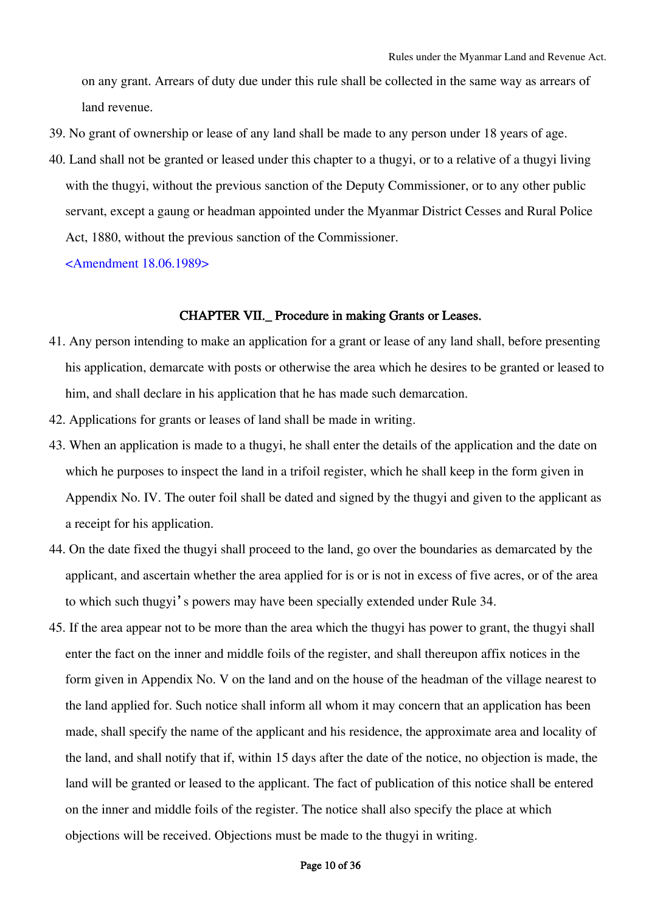on any grant. Arrears of duty due under this rule shall be collected in the same way as arrears of land revenue.

- 39. No grant of ownership or lease of any land shall be made to any person under 18 years of age.
- 40. Land shall not be granted or leased under this chapter to a thugyi, or to a relative of a thugyi living with the thugyi, without the previous sanction of the Deputy Commissioner, or to any other public servant, except a gaung or headman appointed under the Myanmar District Cesses and Rural Police Act, 1880, without the previous sanction of the Commissioner.

<Amendment 18.06.1989>

#### CHAPTER VII.\_ Procedure in making Grants or Leases.

- 41. Any person intending to make an application for a grant or lease of any land shall, before presenting his application, demarcate with posts or otherwise the area which he desires to be granted or leased to him, and shall declare in his application that he has made such demarcation.
- 42. Applications for grants or leases of land shall be made in writing.
- 43. When an application is made to a thugyi, he shall enter the details of the application and the date on which he purposes to inspect the land in a trifoil register, which he shall keep in the form given in Appendix No. IV. The outer foil shall be dated and signed by the thugyi and given to the applicant as a receipt for his application.
- 44. On the date fixed the thugyi shall proceed to the land, go over the boundaries as demarcated by the applicant, and ascertain whether the area applied for is or is not in excess of five acres, or of the area to which such thugyi's powers may have been specially extended under Rule 34.
- 45. If the area appear not to be more than the area which the thugyi has power to grant, the thugyi shall enter the fact on the inner and middle foils of the register, and shall thereupon affix notices in the form given in Appendix No. V on the land and on the house of the headman of the village nearest to the land applied for. Such notice shall inform all whom it may concern that an application has been made, shall specify the name of the applicant and his residence, the approximate area and locality of the land, and shall notify that if, within 15 days after the date of the notice, no objection is made, the land will be granted or leased to the applicant. The fact of publication of this notice shall be entered on the inner and middle foils of the register. The notice shall also specify the place at which objections will be received. Objections must be made to the thugyi in writing.

### Page 10 of 36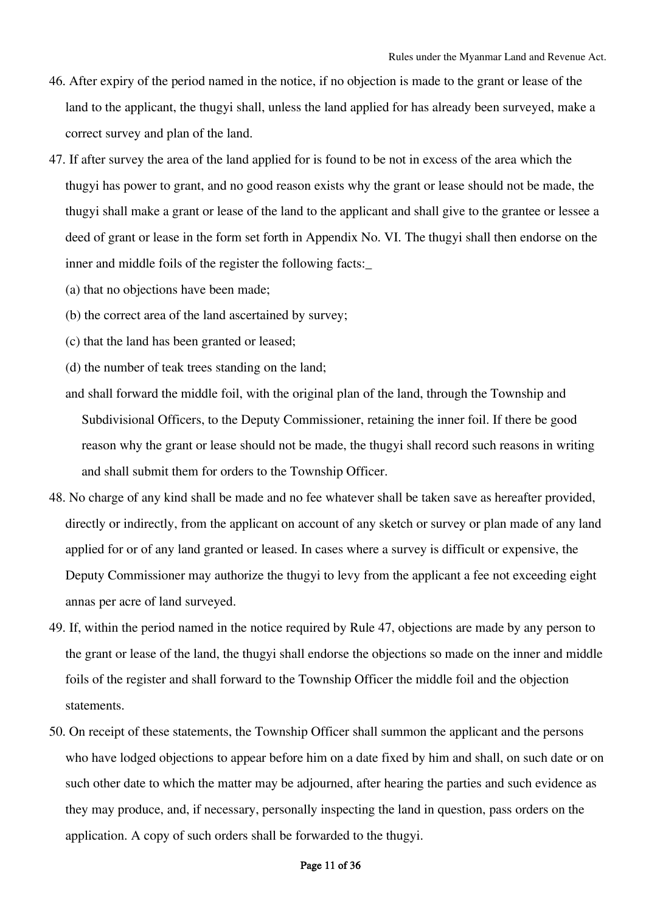- 46. After expiry of the period named in the notice, if no objection is made to the grant or lease of the land to the applicant, the thugyi shall, unless the land applied for has already been surveyed, make a correct survey and plan of the land.
- 47. If after survey the area of the land applied for is found to be not in excess of the area which the thugyi has power to grant, and no good reason exists why the grant or lease should not be made, the thugyi shall make a grant or lease of the land to the applicant and shall give to the grantee or lessee a deed of grant or lease in the form set forth in Appendix No. VI. The thugyi shall then endorse on the inner and middle foils of the register the following facts:\_
	- (a) that no objections have been made;
	- (b) the correct area of the land ascertained by survey;
	- (c) that the land has been granted or leased;
	- (d) the number of teak trees standing on the land;
	- and shall forward the middle foil, with the original plan of the land, through the Township and Subdivisional Officers, to the Deputy Commissioner, retaining the inner foil. If there be good reason why the grant or lease should not be made, the thugyi shall record such reasons in writing and shall submit them for orders to the Township Officer.
- 48. No charge of any kind shall be made and no fee whatever shall be taken save as hereafter provided, directly or indirectly, from the applicant on account of any sketch or survey or plan made of any land applied for or of any land granted or leased. In cases where a survey is difficult or expensive, the Deputy Commissioner may authorize the thugyi to levy from the applicant a fee not exceeding eight annas per acre of land surveyed.
- 49. If, within the period named in the notice required by Rule 47, objections are made by any person to the grant or lease of the land, the thugyi shall endorse the objections so made on the inner and middle foils of the register and shall forward to the Township Officer the middle foil and the objection statements.
- 50. On receipt of these statements, the Township Officer shall summon the applicant and the persons who have lodged objections to appear before him on a date fixed by him and shall, on such date or on such other date to which the matter may be adjourned, after hearing the parties and such evidence as they may produce, and, if necessary, personally inspecting the land in question, pass orders on the application. A copy of such orders shall be forwarded to the thugyi.

#### Page 11 of 36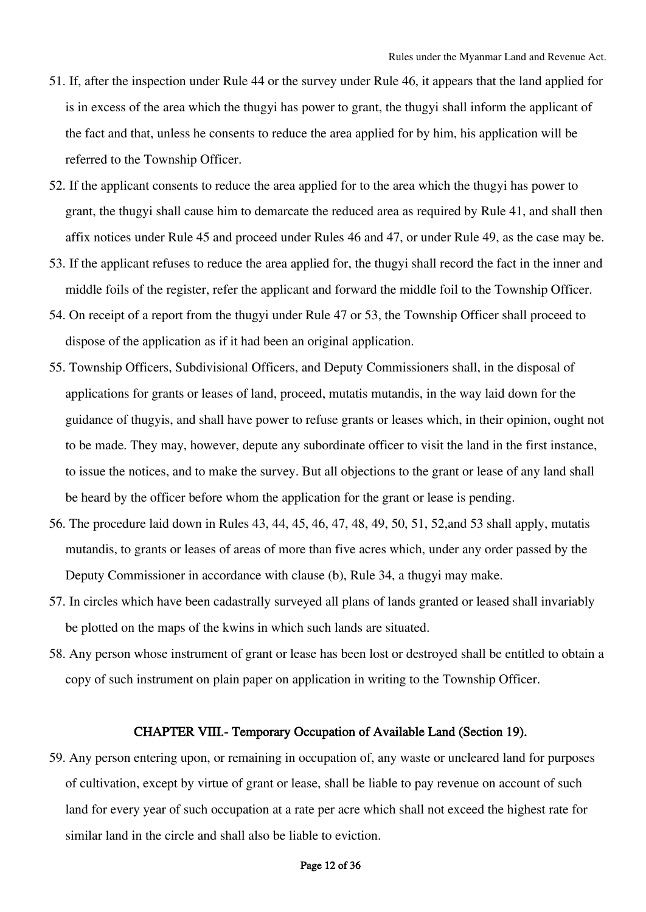- 51. If, after the inspection under Rule 44 or the survey under Rule 46, it appears that the land applied for is in excess of the area which the thugyi has power to grant, the thugyi shall inform the applicant of the fact and that, unless he consents to reduce the area applied for by him, his application will be referred to the Township Officer.
- 52. If the applicant consents to reduce the area applied for to the area which the thugyi has power to grant, the thugyi shall cause him to demarcate the reduced area as required by Rule 41, and shall then affix notices under Rule 45 and proceed under Rules 46 and 47, or under Rule 49, as the case may be.
- 53. If the applicant refuses to reduce the area applied for, the thugyi shall record the fact in the inner and middle foils of the register, refer the applicant and forward the middle foil to the Township Officer.
- 54. On receipt of a report from the thugyi under Rule 47 or 53, the Township Officer shall proceed to dispose of the application as if it had been an original application.
- 55. Township Officers, Subdivisional Officers, and Deputy Commissioners shall, in the disposal of applications for grants or leases of land, proceed, mutatis mutandis, in the way laid down for the guidance of thugyis, and shall have power to refuse grants or leases which, in their opinion, ought not to be made. They may, however, depute any subordinate officer to visit the land in the first instance, to issue the notices, and to make the survey. But all objections to the grant or lease of any land shall be heard by the officer before whom the application for the grant or lease is pending.
- 56. The procedure laid down in Rules 43, 44, 45, 46, 47, 48, 49, 50, 51, 52,and 53 shall apply, mutatis mutandis, to grants or leases of areas of more than five acres which, under any order passed by the Deputy Commissioner in accordance with clause (b), Rule 34, a thugyi may make.
- 57. In circles which have been cadastrally surveyed all plans of lands granted or leased shall invariably be plotted on the maps of the kwins in which such lands are situated.
- 58. Any person whose instrument of grant or lease has been lost or destroyed shall be entitled to obtain a copy of such instrument on plain paper on application in writing to the Township Officer.

## CHAPTER VIII.- Temporary Occupation of Available Land (Section 19).

59. Any person entering upon, or remaining in occupation of, any waste or uncleared land for purposes of cultivation, except by virtue of grant or lease, shall be liable to pay revenue on account of such land for every year of such occupation at a rate per acre which shall not exceed the highest rate for similar land in the circle and shall also be liable to eviction.

### Page 12 of 36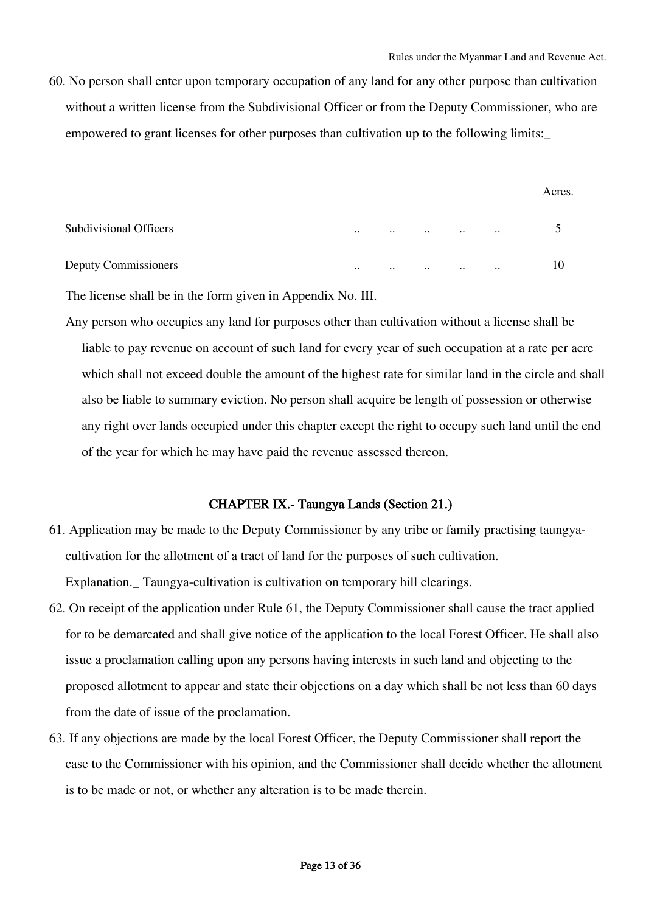60. No person shall enter upon temporary occupation of any land for any other purpose than cultivation without a written license from the Subdivisional Officer or from the Deputy Commissioner, who are empowered to grant licenses for other purposes than cultivation up to the following limits:\_

|                        |           |           |               |               |               | Acres. |
|------------------------|-----------|-----------|---------------|---------------|---------------|--------|
| Subdivisional Officers | $\ddotsc$ | $\cdots$  | $\ddotsc$     | $\cdot \cdot$ | $\ddotsc$     |        |
| Deputy Commissioners   | $\ddotsc$ | $\ddotsc$ | $\cdot \cdot$ | $\ddotsc$     | $\cdot \cdot$ | 10     |

The license shall be in the form given in Appendix No. III.

Any person who occupies any land for purposes other than cultivation without a license shall be liable to pay revenue on account of such land for every year of such occupation at a rate per acre which shall not exceed double the amount of the highest rate for similar land in the circle and shall also be liable to summary eviction. No person shall acquire be length of possession or otherwise any right over lands occupied under this chapter except the right to occupy such land until the end of the year for which he may have paid the revenue assessed thereon.

# CHAPTER IX.- Taungya Lands (Section 21.)

- 61. Application may be made to the Deputy Commissioner by any tribe or family practising taungyacultivation for the allotment of a tract of land for the purposes of such cultivation. Explanation.\_ Taungya-cultivation is cultivation on temporary hill clearings.
- 62. On receipt of the application under Rule 61, the Deputy Commissioner shall cause the tract applied for to be demarcated and shall give notice of the application to the local Forest Officer. He shall also issue a proclamation calling upon any persons having interests in such land and objecting to the proposed allotment to appear and state their objections on a day which shall be not less than 60 days from the date of issue of the proclamation.
- 63. If any objections are made by the local Forest Officer, the Deputy Commissioner shall report the case to the Commissioner with his opinion, and the Commissioner shall decide whether the allotment is to be made or not, or whether any alteration is to be made therein.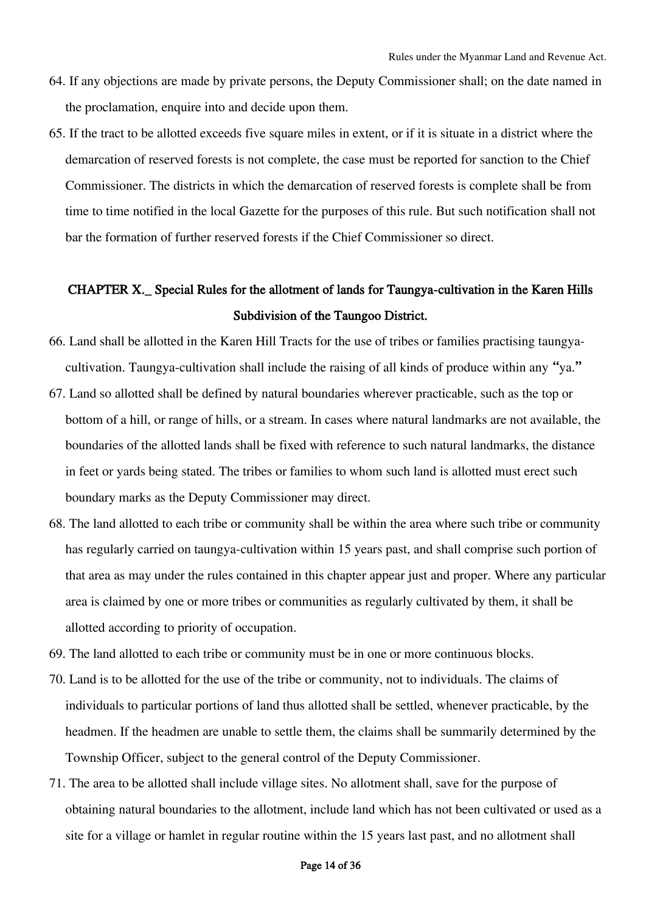- 64. If any objections are made by private persons, the Deputy Commissioner shall; on the date named in the proclamation, enquire into and decide upon them.
- 65. If the tract to be allotted exceeds five square miles in extent, or if it is situate in a district where the demarcation of reserved forests is not complete, the case must be reported for sanction to the Chief Commissioner. The districts in which the demarcation of reserved forests is complete shall be from time to time notified in the local Gazette for the purposes of this rule. But such notification shall not bar the formation of further reserved forests if the Chief Commissioner so direct.

# CHAPTER X.\_ Special Rules for the allotment of lands for Taungya-cultivation in the Karen Hills Subdivision of the Taungoo District.

- 66. Land shall be allotted in the Karen Hill Tracts for the use of tribes or families practising taungyacultivation. Taungya-cultivation shall include the raising of all kinds of produce within any "ya."
- 67. Land so allotted shall be defined by natural boundaries wherever practicable, such as the top or bottom of a hill, or range of hills, or a stream. In cases where natural landmarks are not available, the boundaries of the allotted lands shall be fixed with reference to such natural landmarks, the distance in feet or yards being stated. The tribes or families to whom such land is allotted must erect such boundary marks as the Deputy Commissioner may direct.
- 68. The land allotted to each tribe or community shall be within the area where such tribe or community has regularly carried on taungya-cultivation within 15 years past, and shall comprise such portion of that area as may under the rules contained in this chapter appear just and proper. Where any particular area is claimed by one or more tribes or communities as regularly cultivated by them, it shall be allotted according to priority of occupation.
- 69. The land allotted to each tribe or community must be in one or more continuous blocks.
- 70. Land is to be allotted for the use of the tribe or community, not to individuals. The claims of individuals to particular portions of land thus allotted shall be settled, whenever practicable, by the headmen. If the headmen are unable to settle them, the claims shall be summarily determined by the Township Officer, subject to the general control of the Deputy Commissioner.
- 71. The area to be allotted shall include village sites. No allotment shall, save for the purpose of obtaining natural boundaries to the allotment, include land which has not been cultivated or used as a site for a village or hamlet in regular routine within the 15 years last past, and no allotment shall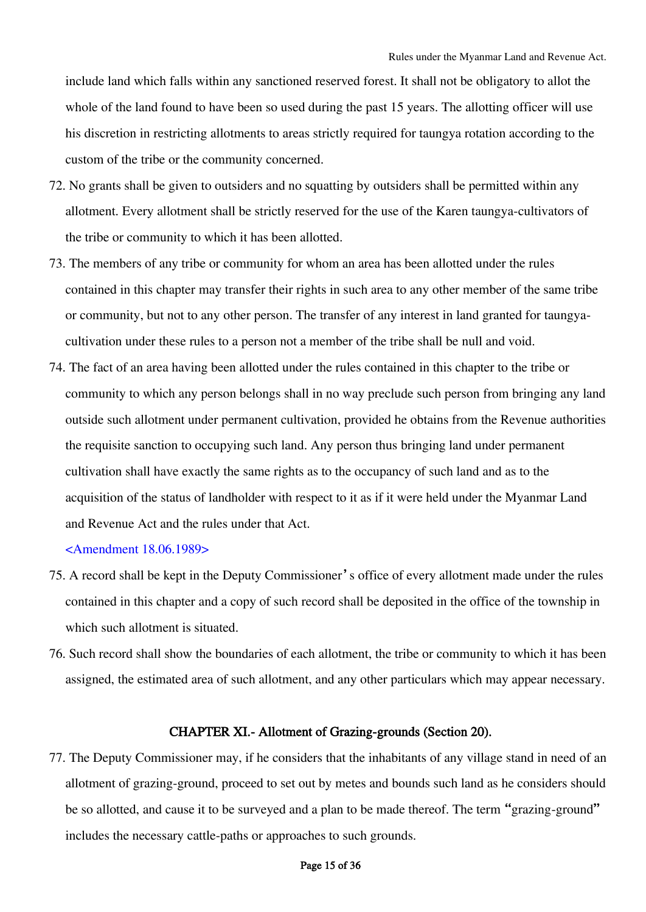include land which falls within any sanctioned reserved forest. It shall not be obligatory to allot the whole of the land found to have been so used during the past 15 years. The allotting officer will use his discretion in restricting allotments to areas strictly required for taungya rotation according to the custom of the tribe or the community concerned.

- 72. No grants shall be given to outsiders and no squatting by outsiders shall be permitted within any allotment. Every allotment shall be strictly reserved for the use of the Karen taungya-cultivators of the tribe or community to which it has been allotted.
- 73. The members of any tribe or community for whom an area has been allotted under the rules contained in this chapter may transfer their rights in such area to any other member of the same tribe or community, but not to any other person. The transfer of any interest in land granted for taungyacultivation under these rules to a person not a member of the tribe shall be null and void.
- 74. The fact of an area having been allotted under the rules contained in this chapter to the tribe or community to which any person belongs shall in no way preclude such person from bringing any land outside such allotment under permanent cultivation, provided he obtains from the Revenue authorities the requisite sanction to occupying such land. Any person thus bringing land under permanent cultivation shall have exactly the same rights as to the occupancy of such land and as to the acquisition of the status of landholder with respect to it as if it were held under the Myanmar Land and Revenue Act and the rules under that Act.

<Amendment 18.06.1989>

- 75. A record shall be kept in the Deputy Commissioner's office of every allotment made under the rules contained in this chapter and a copy of such record shall be deposited in the office of the township in which such allotment is situated.
- 76. Such record shall show the boundaries of each allotment, the tribe or community to which it has been assigned, the estimated area of such allotment, and any other particulars which may appear necessary.

### CHAPTER XI.- Allotment of Grazing-grounds (Section 20).

77. The Deputy Commissioner may, if he considers that the inhabitants of any village stand in need of an allotment of grazing-ground, proceed to set out by metes and bounds such land as he considers should be so allotted, and cause it to be surveyed and a plan to be made thereof. The term "grazing-ground" includes the necessary cattle-paths or approaches to such grounds.

## Page 15 of 36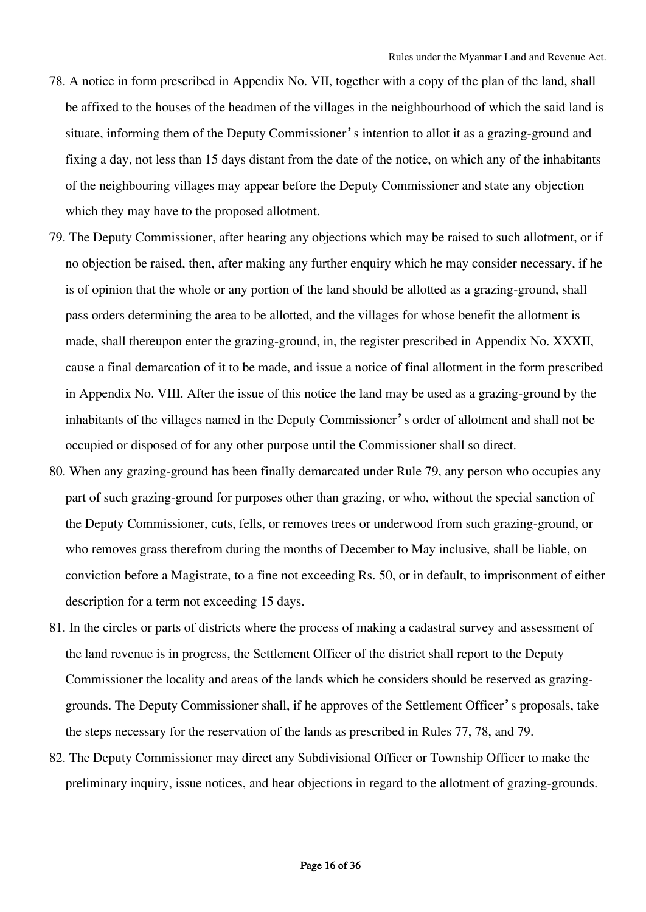- 78. A notice in form prescribed in Appendix No. VII, together with a copy of the plan of the land, shall be affixed to the houses of the headmen of the villages in the neighbourhood of which the said land is situate, informing them of the Deputy Commissioner's intention to allot it as a grazing-ground and fixing a day, not less than 15 days distant from the date of the notice, on which any of the inhabitants of the neighbouring villages may appear before the Deputy Commissioner and state any objection which they may have to the proposed allotment.
- 79. The Deputy Commissioner, after hearing any objections which may be raised to such allotment, or if no objection be raised, then, after making any further enquiry which he may consider necessary, if he is of opinion that the whole or any portion of the land should be allotted as a grazing-ground, shall pass orders determining the area to be allotted, and the villages for whose benefit the allotment is made, shall thereupon enter the grazing-ground, in, the register prescribed in Appendix No. XXXII, cause a final demarcation of it to be made, and issue a notice of final allotment in the form prescribed in Appendix No. VIII. After the issue of this notice the land may be used as a grazing-ground by the inhabitants of the villages named in the Deputy Commissioner's order of allotment and shall not be occupied or disposed of for any other purpose until the Commissioner shall so direct.
- 80. When any grazing-ground has been finally demarcated under Rule 79, any person who occupies any part of such grazing-ground for purposes other than grazing, or who, without the special sanction of the Deputy Commissioner, cuts, fells, or removes trees or underwood from such grazing-ground, or who removes grass therefrom during the months of December to May inclusive, shall be liable, on conviction before a Magistrate, to a fine not exceeding Rs. 50, or in default, to imprisonment of either description for a term not exceeding 15 days.
- 81. In the circles or parts of districts where the process of making a cadastral survey and assessment of the land revenue is in progress, the Settlement Officer of the district shall report to the Deputy Commissioner the locality and areas of the lands which he considers should be reserved as grazinggrounds. The Deputy Commissioner shall, if he approves of the Settlement Officer's proposals, take the steps necessary for the reservation of the lands as prescribed in Rules 77, 78, and 79.
- 82. The Deputy Commissioner may direct any Subdivisional Officer or Township Officer to make the preliminary inquiry, issue notices, and hear objections in regard to the allotment of grazing-grounds.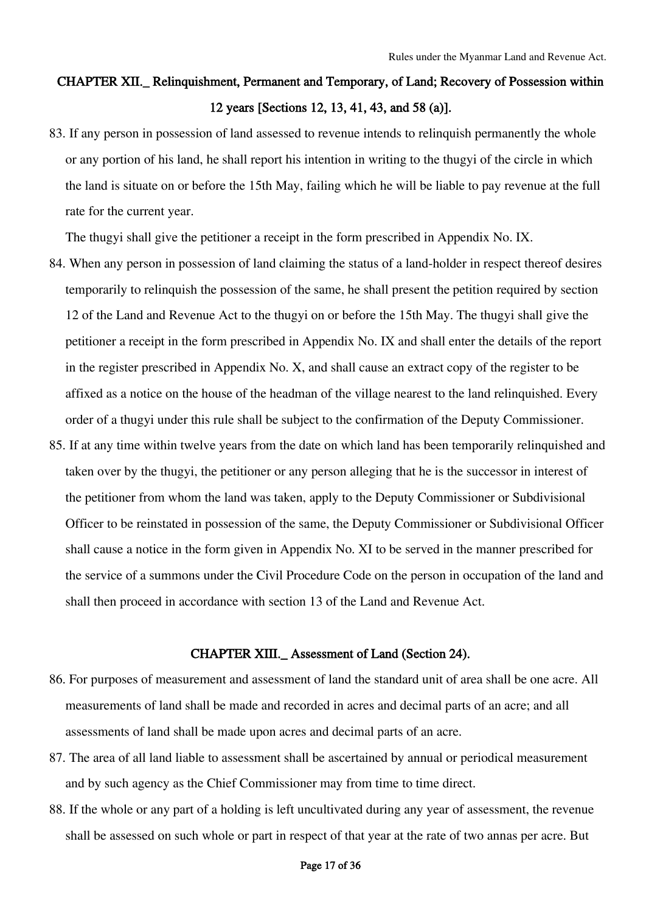# CHAPTER XII.\_ Relinquishment, Permanent and Temporary, of Land; Recovery of Possession within 12 years [Sections 12, 13, 41, 43, and 58 (a)].

83. If any person in possession of land assessed to revenue intends to relinquish permanently the whole or any portion of his land, he shall report his intention in writing to the thugyi of the circle in which the land is situate on or before the 15th May, failing which he will be liable to pay revenue at the full rate for the current year.

The thugyi shall give the petitioner a receipt in the form prescribed in Appendix No. IX.

- 84. When any person in possession of land claiming the status of a land-holder in respect thereof desires temporarily to relinquish the possession of the same, he shall present the petition required by section 12 of the Land and Revenue Act to the thugyi on or before the 15th May. The thugyi shall give the petitioner a receipt in the form prescribed in Appendix No. IX and shall enter the details of the report in the register prescribed in Appendix No. X, and shall cause an extract copy of the register to be affixed as a notice on the house of the headman of the village nearest to the land relinquished. Every order of a thugyi under this rule shall be subject to the confirmation of the Deputy Commissioner.
- 85. If at any time within twelve years from the date on which land has been temporarily relinquished and taken over by the thugyi, the petitioner or any person alleging that he is the successor in interest of the petitioner from whom the land was taken, apply to the Deputy Commissioner or Subdivisional Officer to be reinstated in possession of the same, the Deputy Commissioner or Subdivisional Officer shall cause a notice in the form given in Appendix No. XI to be served in the manner prescribed for the service of a summons under the Civil Procedure Code on the person in occupation of the land and shall then proceed in accordance with section 13 of the Land and Revenue Act.

### CHAPTER XIII.\_ Assessment of Land (Section 24).

- 86. For purposes of measurement and assessment of land the standard unit of area shall be one acre. All measurements of land shall be made and recorded in acres and decimal parts of an acre; and all assessments of land shall be made upon acres and decimal parts of an acre.
- 87. The area of all land liable to assessment shall be ascertained by annual or periodical measurement and by such agency as the Chief Commissioner may from time to time direct.
- 88. If the whole or any part of a holding is left uncultivated during any year of assessment, the revenue shall be assessed on such whole or part in respect of that year at the rate of two annas per acre. But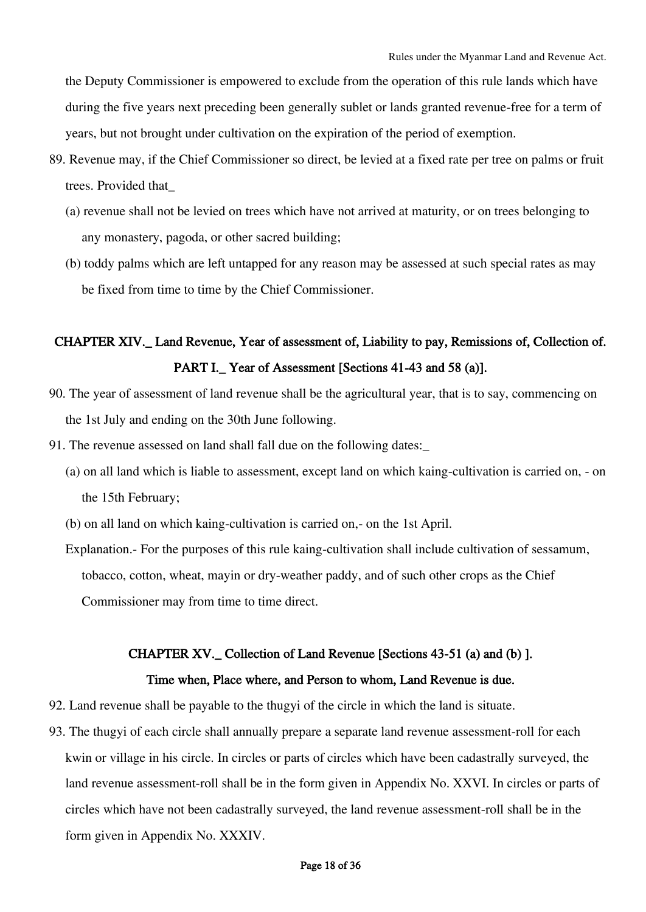the Deputy Commissioner is empowered to exclude from the operation of this rule lands which have during the five years next preceding been generally sublet or lands granted revenue-free for a term of years, but not brought under cultivation on the expiration of the period of exemption.

- 89. Revenue may, if the Chief Commissioner so direct, be levied at a fixed rate per tree on palms or fruit trees. Provided that\_
	- (a) revenue shall not be levied on trees which have not arrived at maturity, or on trees belonging to any monastery, pagoda, or other sacred building;
	- (b) toddy palms which are left untapped for any reason may be assessed at such special rates as may be fixed from time to time by the Chief Commissioner.

# CHAPTER XIV.\_ Land Revenue, Year of assessment of, Liability to pay, Remissions of, Collection of. PART I. Year of Assessment [Sections 41-43 and 58 (a)].

- 90. The year of assessment of land revenue shall be the agricultural year, that is to say, commencing on the 1st July and ending on the 30th June following.
- 91. The revenue assessed on land shall fall due on the following dates:\_
	- (a) on all land which is liable to assessment, except land on which kaing-cultivation is carried on, on the 15th February;
	- (b) on all land on which kaing-cultivation is carried on,- on the 1st April.
	- Explanation.- For the purposes of this rule kaing-cultivation shall include cultivation of sessamum, tobacco, cotton, wheat, mayin or dry-weather paddy, and of such other crops as the Chief Commissioner may from time to time direct.

# CHAPTER XV.\_ Collection of Land Revenue [Sections 43-51 (a) and (b) ].

# Time when, Place where, and Person to whom, Land Revenue is due.

- 92. Land revenue shall be payable to the thugyi of the circle in which the land is situate.
- 93. The thugyi of each circle shall annually prepare a separate land revenue assessment-roll for each kwin or village in his circle. In circles or parts of circles which have been cadastrally surveyed, the land revenue assessment-roll shall be in the form given in Appendix No. XXVI. In circles or parts of circles which have not been cadastrally surveyed, the land revenue assessment-roll shall be in the form given in Appendix No. XXXIV.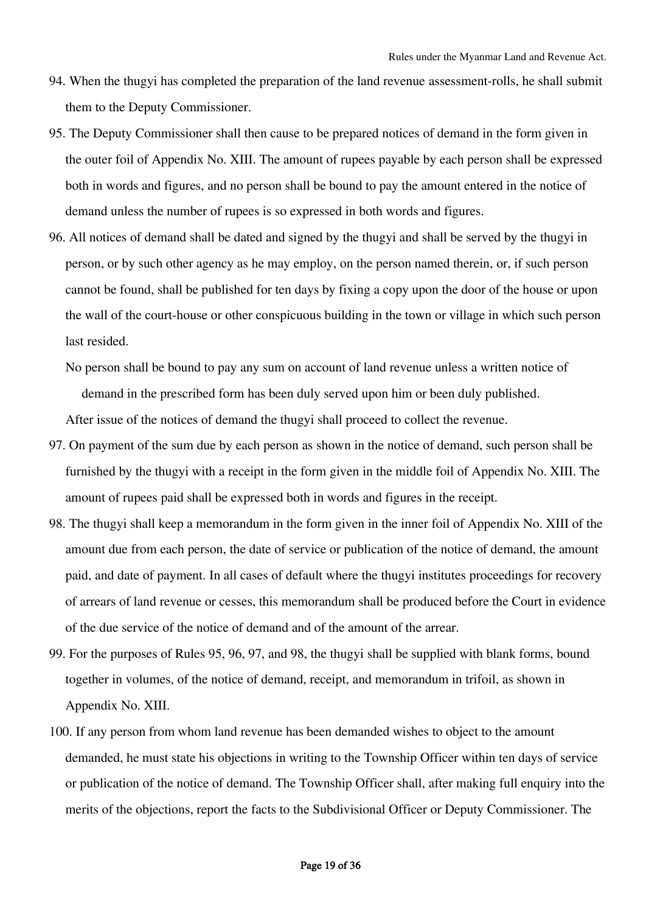- 94. When the thugyi has completed the preparation of the land revenue assessment-rolls, he shall submit them to the Deputy Commissioner.
- 95. The Deputy Commissioner shall then cause to be prepared notices of demand in the form given in the outer foil of Appendix No. XIII. The amount of rupees payable by each person shall be expressed both in words and figures, and no person shall be bound to pay the amount entered in the notice of demand unless the number of rupees is so expressed in both words and figures.
- 96. All notices of demand shall be dated and signed by the thugyi and shall be served by the thugyi in person, or by such other agency as he may employ, on the person named therein, or, if such person cannot be found, shall be published for ten days by fixing a copy upon the door of the house or upon the wall of the court-house or other conspicuous building in the town or village in which such person last resided.
	- No person shall be bound to pay any sum on account of land revenue unless a written notice of demand in the prescribed form has been duly served upon him or been duly published.

After issue of the notices of demand the thugyi shall proceed to collect the revenue.

- 97. On payment of the sum due by each person as shown in the notice of demand, such person shall be furnished by the thugyi with a receipt in the form given in the middle foil of Appendix No. XIII. The amount of rupees paid shall be expressed both in words and figures in the receipt.
- 98. The thugyi shall keep a memorandum in the form given in the inner foil of Appendix No. XIII of the amount due from each person, the date of service or publication of the notice of demand, the amount paid, and date of payment. In all cases of default where the thugyi institutes proceedings for recovery of arrears of land revenue or cesses, this memorandum shall be produced before the Court in evidence of the due service of the notice of demand and of the amount of the arrear.
- 99. For the purposes of Rules 95, 96, 97, and 98, the thugyi shall be supplied with blank forms, bound together in volumes, of the notice of demand, receipt, and memorandum in trifoil, as shown in Appendix No. XIII.
- 100. If any person from whom land revenue has been demanded wishes to object to the amount demanded, he must state his objections in writing to the Township Officer within ten days of service or publication of the notice of demand. The Township Officer shall, after making full enquiry into the merits of the objections, report the facts to the Subdivisional Officer or Deputy Commissioner. The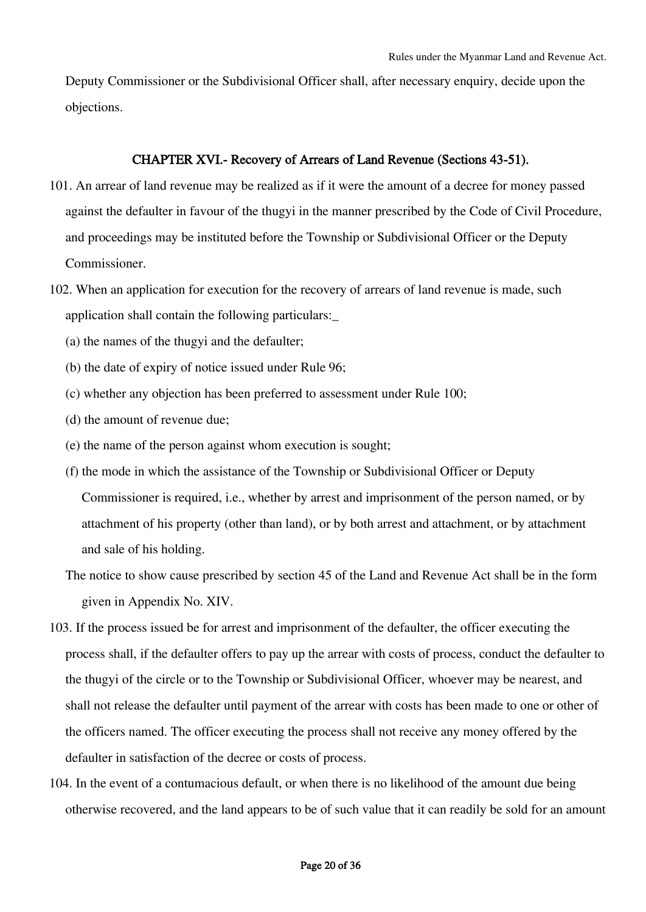Deputy Commissioner or the Subdivisional Officer shall, after necessary enquiry, decide upon the objections.

# CHAPTER XVI.- Recovery of Arrears of Land Revenue (Sections 43-51).

- 101. An arrear of land revenue may be realized as if it were the amount of a decree for money passed against the defaulter in favour of the thugyi in the manner prescribed by the Code of Civil Procedure, and proceedings may be instituted before the Township or Subdivisional Officer or the Deputy Commissioner.
- 102. When an application for execution for the recovery of arrears of land revenue is made, such application shall contain the following particulars:\_
	- (a) the names of the thugyi and the defaulter;
	- (b) the date of expiry of notice issued under Rule 96;
	- (c) whether any objection has been preferred to assessment under Rule 100;
	- (d) the amount of revenue due;
	- (e) the name of the person against whom execution is sought;
	- (f) the mode in which the assistance of the Township or Subdivisional Officer or Deputy Commissioner is required, i.e., whether by arrest and imprisonment of the person named, or by attachment of his property (other than land), or by both arrest and attachment, or by attachment and sale of his holding.
	- The notice to show cause prescribed by section 45 of the Land and Revenue Act shall be in the form given in Appendix No. XIV.
- 103. If the process issued be for arrest and imprisonment of the defaulter, the officer executing the process shall, if the defaulter offers to pay up the arrear with costs of process, conduct the defaulter to the thugyi of the circle or to the Township or Subdivisional Officer, whoever may be nearest, and shall not release the defaulter until payment of the arrear with costs has been made to one or other of the officers named. The officer executing the process shall not receive any money offered by the defaulter in satisfaction of the decree or costs of process.
- 104. In the event of a contumacious default, or when there is no likelihood of the amount due being otherwise recovered, and the land appears to be of such value that it can readily be sold for an amount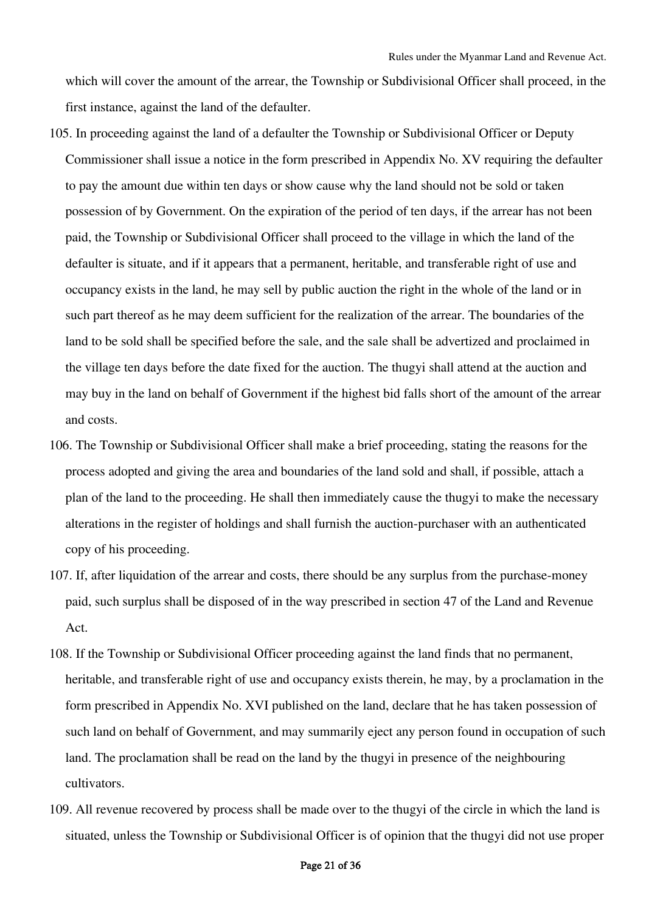which will cover the amount of the arrear, the Township or Subdivisional Officer shall proceed, in the first instance, against the land of the defaulter.

- 105. In proceeding against the land of a defaulter the Township or Subdivisional Officer or Deputy Commissioner shall issue a notice in the form prescribed in Appendix No. XV requiring the defaulter to pay the amount due within ten days or show cause why the land should not be sold or taken possession of by Government. On the expiration of the period of ten days, if the arrear has not been paid, the Township or Subdivisional Officer shall proceed to the village in which the land of the defaulter is situate, and if it appears that a permanent, heritable, and transferable right of use and occupancy exists in the land, he may sell by public auction the right in the whole of the land or in such part thereof as he may deem sufficient for the realization of the arrear. The boundaries of the land to be sold shall be specified before the sale, and the sale shall be advertized and proclaimed in the village ten days before the date fixed for the auction. The thugyi shall attend at the auction and may buy in the land on behalf of Government if the highest bid falls short of the amount of the arrear and costs.
- 106. The Township or Subdivisional Officer shall make a brief proceeding, stating the reasons for the process adopted and giving the area and boundaries of the land sold and shall, if possible, attach a plan of the land to the proceeding. He shall then immediately cause the thugyi to make the necessary alterations in the register of holdings and shall furnish the auction-purchaser with an authenticated copy of his proceeding.
- 107. If, after liquidation of the arrear and costs, there should be any surplus from the purchase-money paid, such surplus shall be disposed of in the way prescribed in section 47 of the Land and Revenue Act.
- 108. If the Township or Subdivisional Officer proceeding against the land finds that no permanent, heritable, and transferable right of use and occupancy exists therein, he may, by a proclamation in the form prescribed in Appendix No. XVI published on the land, declare that he has taken possession of such land on behalf of Government, and may summarily eject any person found in occupation of such land. The proclamation shall be read on the land by the thugyi in presence of the neighbouring cultivators.
- 109. All revenue recovered by process shall be made over to the thugyi of the circle in which the land is situated, unless the Township or Subdivisional Officer is of opinion that the thugyi did not use proper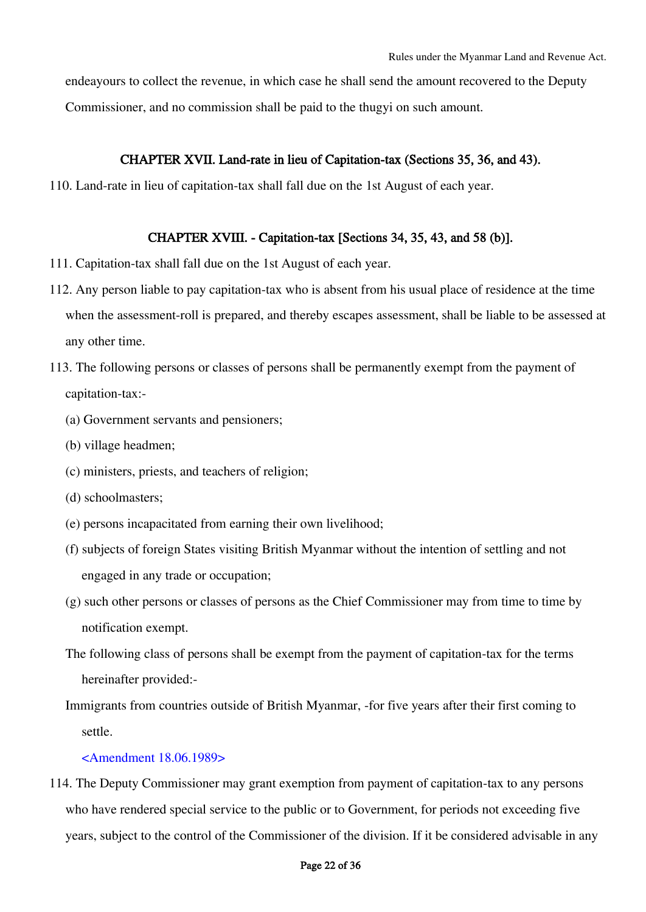endeayours to collect the revenue, in which case he shall send the amount recovered to the Deputy Commissioner, and no commission shall be paid to the thugyi on such amount.

# CHAPTER XVII. Land-rate in lieu of Capitation-tax (Sections 35, 36, and 43).

110. Land-rate in lieu of capitation-tax shall fall due on the 1st August of each year.

### CHAPTER XVIII. - Capitation-tax [Sections 34, 35, 43, and 58 (b)].

- 111. Capitation-tax shall fall due on the 1st August of each year.
- 112. Any person liable to pay capitation-tax who is absent from his usual place of residence at the time when the assessment-roll is prepared, and thereby escapes assessment, shall be liable to be assessed at any other time.
- 113. The following persons or classes of persons shall be permanently exempt from the payment of capitation-tax:-
	- (a) Government servants and pensioners;
	- (b) village headmen;
	- (c) ministers, priests, and teachers of religion;
	- (d) schoolmasters;
	- (e) persons incapacitated from earning their own livelihood;
	- (f) subjects of foreign States visiting British Myanmar without the intention of settling and not engaged in any trade or occupation;
	- (g) such other persons or classes of persons as the Chief Commissioner may from time to time by notification exempt.
	- The following class of persons shall be exempt from the payment of capitation-tax for the terms hereinafter provided:-
	- Immigrants from countries outside of British Myanmar, -for five years after their first coming to settle.

### <Amendment 18.06.1989>

114. The Deputy Commissioner may grant exemption from payment of capitation-tax to any persons who have rendered special service to the public or to Government, for periods not exceeding five years, subject to the control of the Commissioner of the division. If it be considered advisable in any

### Page 22 of 36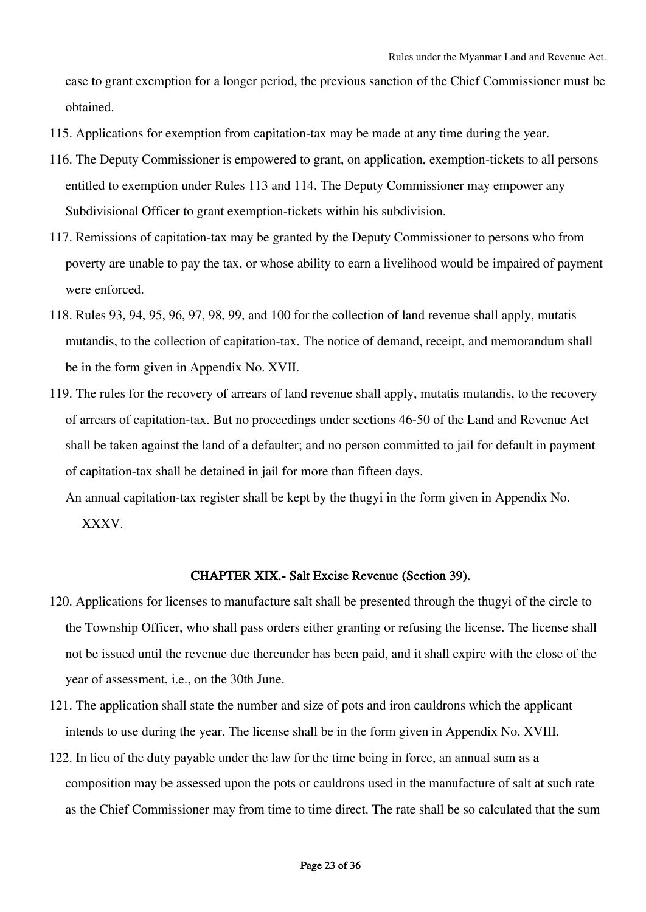case to grant exemption for a longer period, the previous sanction of the Chief Commissioner must be obtained.

- 115. Applications for exemption from capitation-tax may be made at any time during the year.
- 116. The Deputy Commissioner is empowered to grant, on application, exemption-tickets to all persons entitled to exemption under Rules 113 and 114. The Deputy Commissioner may empower any Subdivisional Officer to grant exemption-tickets within his subdivision.
- 117. Remissions of capitation-tax may be granted by the Deputy Commissioner to persons who from poverty are unable to pay the tax, or whose ability to earn a livelihood would be impaired of payment were enforced.
- 118. Rules 93, 94, 95, 96, 97, 98, 99, and 100 for the collection of land revenue shall apply, mutatis mutandis, to the collection of capitation-tax. The notice of demand, receipt, and memorandum shall be in the form given in Appendix No. XVII.
- 119. The rules for the recovery of arrears of land revenue shall apply, mutatis mutandis, to the recovery of arrears of capitation-tax. But no proceedings under sections 46-50 of the Land and Revenue Act shall be taken against the land of a defaulter; and no person committed to jail for default in payment of capitation-tax shall be detained in jail for more than fifteen days.
	- An annual capitation-tax register shall be kept by the thugyi in the form given in Appendix No. XXXV.

# CHAPTER XIX.- Salt Excise Revenue (Section 39).

- 120. Applications for licenses to manufacture salt shall be presented through the thugyi of the circle to the Township Officer, who shall pass orders either granting or refusing the license. The license shall not be issued until the revenue due thereunder has been paid, and it shall expire with the close of the year of assessment, i.e., on the 30th June.
- 121. The application shall state the number and size of pots and iron cauldrons which the applicant intends to use during the year. The license shall be in the form given in Appendix No. XVIII.
- 122. In lieu of the duty payable under the law for the time being in force, an annual sum as a composition may be assessed upon the pots or cauldrons used in the manufacture of salt at such rate as the Chief Commissioner may from time to time direct. The rate shall be so calculated that the sum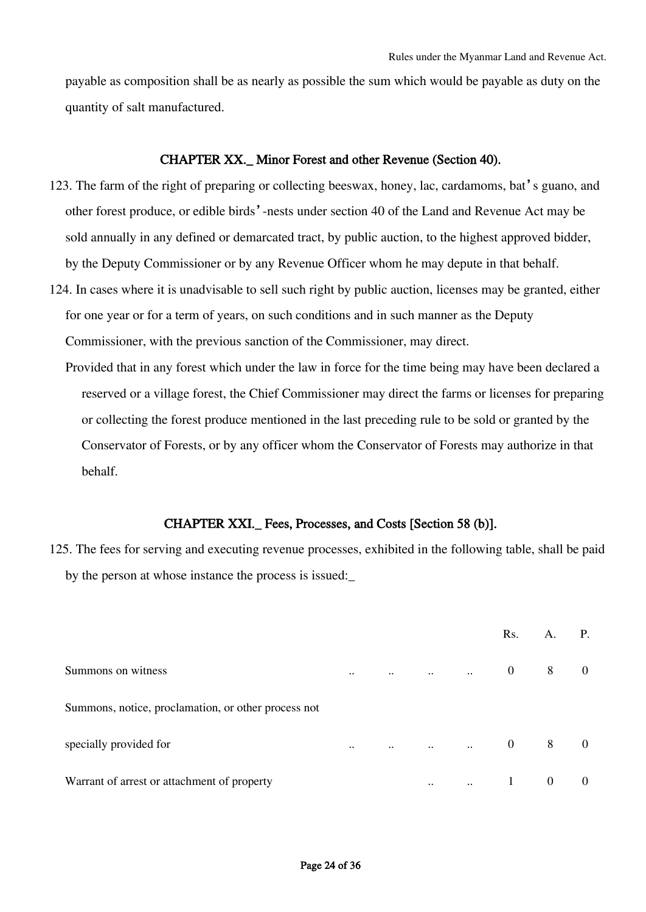payable as composition shall be as nearly as possible the sum which would be payable as duty on the quantity of salt manufactured.

### CHAPTER XX.\_ Minor Forest and other Revenue (Section 40).

- 123. The farm of the right of preparing or collecting beeswax, honey, lac, cardamoms, bat's guano, and other forest produce, or edible birds'-nests under section 40 of the Land and Revenue Act may be sold annually in any defined or demarcated tract, by public auction, to the highest approved bidder, by the Deputy Commissioner or by any Revenue Officer whom he may depute in that behalf.
- 124. In cases where it is unadvisable to sell such right by public auction, licenses may be granted, either for one year or for a term of years, on such conditions and in such manner as the Deputy Commissioner, with the previous sanction of the Commissioner, may direct.
	- Provided that in any forest which under the law in force for the time being may have been declared a reserved or a village forest, the Chief Commissioner may direct the farms or licenses for preparing or collecting the forest produce mentioned in the last preceding rule to be sold or granted by the Conservator of Forests, or by any officer whom the Conservator of Forests may authorize in that behalf.

### CHAPTER XXI.\_ Fees, Processes, and Costs [Section 58 (b)].

125. The fees for serving and executing revenue processes, exhibited in the following table, shall be paid by the person at whose instance the process is issued:\_

|                                                     |           |           |           |                                                           | Rs.            | А.             | <b>P.</b>      |
|-----------------------------------------------------|-----------|-----------|-----------|-----------------------------------------------------------|----------------|----------------|----------------|
| Summons on witness                                  | $\ddotsc$ | $\ddotsc$ | $\ddots$  | $\mathcal{L}^{\text{max}}$ and $\mathcal{L}^{\text{max}}$ | $\overline{0}$ | 8              | $\overline{0}$ |
| Summons, notice, proclamation, or other process not |           |           |           |                                                           |                |                |                |
| specially provided for                              | $\ddotsc$ | $\ddotsc$ |           | $\mathbb{R}^2$                                            | $\overline{0}$ | 8              | $\overline{0}$ |
| Warrant of arrest or attachment of property         |           |           | $\ddotsc$ | $\mathbf{a}$ .                                            | $\overline{1}$ | $\overline{0}$ | $\overline{0}$ |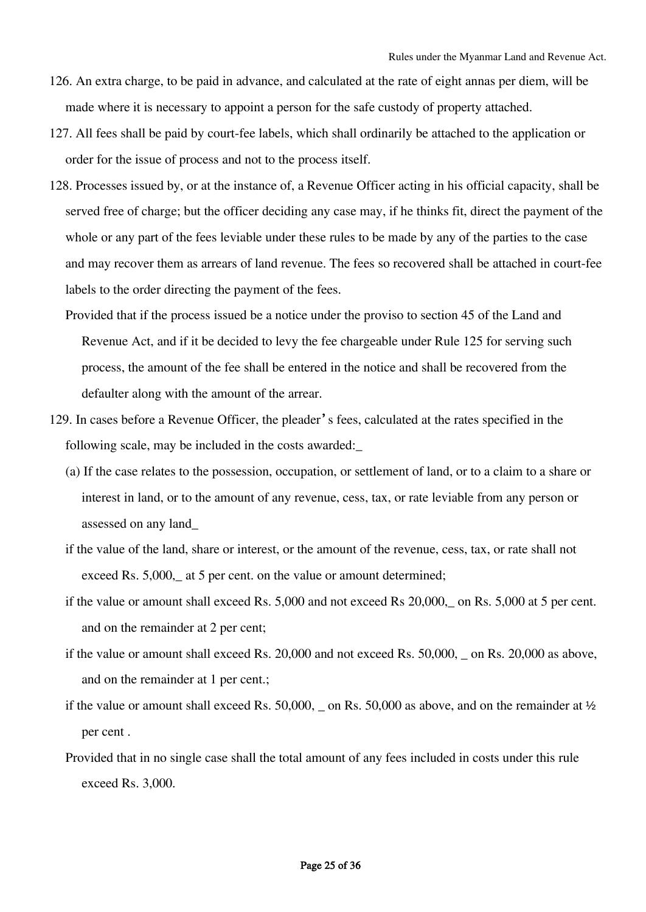- 126. An extra charge, to be paid in advance, and calculated at the rate of eight annas per diem, will be made where it is necessary to appoint a person for the safe custody of property attached.
- 127. All fees shall be paid by court-fee labels, which shall ordinarily be attached to the application or order for the issue of process and not to the process itself.
- 128. Processes issued by, or at the instance of, a Revenue Officer acting in his official capacity, shall be served free of charge; but the officer deciding any case may, if he thinks fit, direct the payment of the whole or any part of the fees leviable under these rules to be made by any of the parties to the case and may recover them as arrears of land revenue. The fees so recovered shall be attached in court-fee labels to the order directing the payment of the fees.
	- Provided that if the process issued be a notice under the proviso to section 45 of the Land and Revenue Act, and if it be decided to levy the fee chargeable under Rule 125 for serving such process, the amount of the fee shall be entered in the notice and shall be recovered from the defaulter along with the amount of the arrear.
- 129. In cases before a Revenue Officer, the pleader's fees, calculated at the rates specified in the following scale, may be included in the costs awarded:\_
	- (a) If the case relates to the possession, occupation, or settlement of land, or to a claim to a share or interest in land, or to the amount of any revenue, cess, tax, or rate leviable from any person or assessed on any land\_
	- if the value of the land, share or interest, or the amount of the revenue, cess, tax, or rate shall not exceed Rs. 5,000, at 5 per cent. on the value or amount determined;
	- if the value or amount shall exceed Rs. 5,000 and not exceed Rs 20,000,\_ on Rs. 5,000 at 5 per cent. and on the remainder at 2 per cent;
	- if the value or amount shall exceed Rs. 20,000 and not exceed Rs. 50,000, \_ on Rs. 20,000 as above, and on the remainder at 1 per cent.;
	- if the value or amount shall exceed Rs.  $50,000$ ,  $\alpha$  n Rs.  $50,000$  as above, and on the remainder at  $\frac{1}{2}$ per cent .
	- Provided that in no single case shall the total amount of any fees included in costs under this rule exceed Rs. 3,000.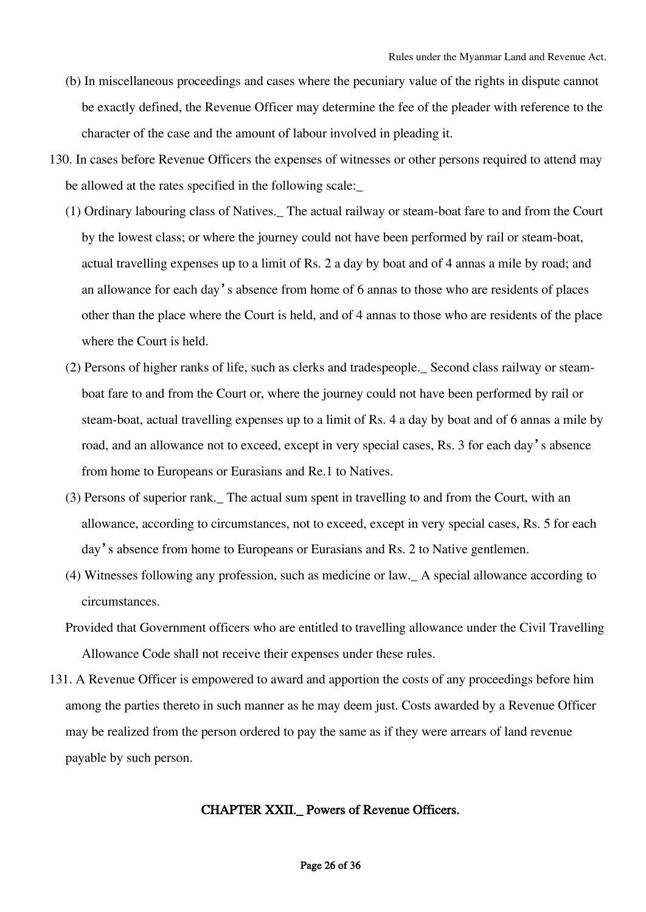- (b) In miscellaneous proceedings and cases where the pecuniary value of the rights in dispute cannot be exactly defined, the Revenue Officer may determine the fee of the pleader with reference to the character of the case and the amount of labour involved in pleading it.
- 130. In cases before Revenue Officers the expenses of witnesses or other persons required to attend may be allowed at the rates specified in the following scale:
	- (1) Ordinary labouring class of Natives.\_ The actual railway or steam-boat fare to and from the Court by the lowest class; or where the journey could not have been performed by rail or steam-boat, actual travelling expenses up to a limit of Rs. 2 a day by boat and of 4 annas a mile by road; and an allowance for each day's absence from home of 6 annas to those who are residents of places other than the place where the Court is held, and of 4 annas to those who are residents of the place where the Court is held.
	- (2) Persons of higher ranks of life, such as clerks and tradespeople.\_ Second class railway or steamboat fare to and from the Court or, where the journey could not have been performed by rail or steam-boat, actual travelling expenses up to a limit of Rs. 4 a day by boat and of 6 annas a mile by road, and an allowance not to exceed, except in very special cases, Rs. 3 for each day's absence from home to Europeans or Eurasians and Re.1 to Natives.
	- (3) Persons of superior rank.\_ The actual sum spent in travelling to and from the Court, with an allowance, according to circumstances, not to exceed, except in very special cases, Rs. 5 for each day's absence from home to Europeans or Eurasians and Rs. 2 to Native gentlemen.
	- (4) Witnesses following any profession, such as medicine or law.\_ A special allowance according to circumstances.
	- Provided that Government officers who are entitled to travelling allowance under the Civil Travelling Allowance Code shall not receive their expenses under these rules.
- 131. A Revenue Officer is empowered to award and apportion the costs of any proceedings before him among the parties thereto in such manner as he may deem just. Costs awarded by a Revenue Officer may be realized from the person ordered to pay the same as if they were arrears of land revenue payable by such person.

# CHAPTER XXII.\_ Powers of Revenue Officers.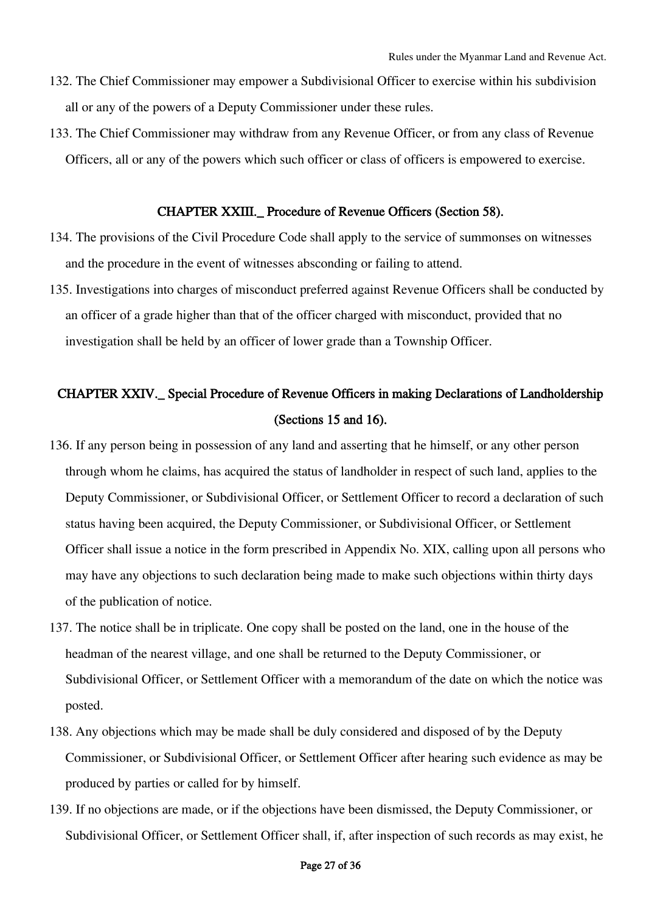- 132. The Chief Commissioner may empower a Subdivisional Officer to exercise within his subdivision all or any of the powers of a Deputy Commissioner under these rules.
- 133. The Chief Commissioner may withdraw from any Revenue Officer, or from any class of Revenue Officers, all or any of the powers which such officer or class of officers is empowered to exercise.

# CHAPTER XXIII.\_ Procedure of Revenue Officers (Section 58).

- 134. The provisions of the Civil Procedure Code shall apply to the service of summonses on witnesses and the procedure in the event of witnesses absconding or failing to attend.
- 135. Investigations into charges of misconduct preferred against Revenue Officers shall be conducted by an officer of a grade higher than that of the officer charged with misconduct, provided that no investigation shall be held by an officer of lower grade than a Township Officer.

# CHAPTER XXIV.\_ Special Procedure of Revenue Officers in making Declarations of Landholdership (Sections 15 and 16).

- 136. If any person being in possession of any land and asserting that he himself, or any other person through whom he claims, has acquired the status of landholder in respect of such land, applies to the Deputy Commissioner, or Subdivisional Officer, or Settlement Officer to record a declaration of such status having been acquired, the Deputy Commissioner, or Subdivisional Officer, or Settlement Officer shall issue a notice in the form prescribed in Appendix No. XIX, calling upon all persons who may have any objections to such declaration being made to make such objections within thirty days of the publication of notice.
- 137. The notice shall be in triplicate. One copy shall be posted on the land, one in the house of the headman of the nearest village, and one shall be returned to the Deputy Commissioner, or Subdivisional Officer, or Settlement Officer with a memorandum of the date on which the notice was posted.
- 138. Any objections which may be made shall be duly considered and disposed of by the Deputy Commissioner, or Subdivisional Officer, or Settlement Officer after hearing such evidence as may be produced by parties or called for by himself.
- 139. If no objections are made, or if the objections have been dismissed, the Deputy Commissioner, or Subdivisional Officer, or Settlement Officer shall, if, after inspection of such records as may exist, he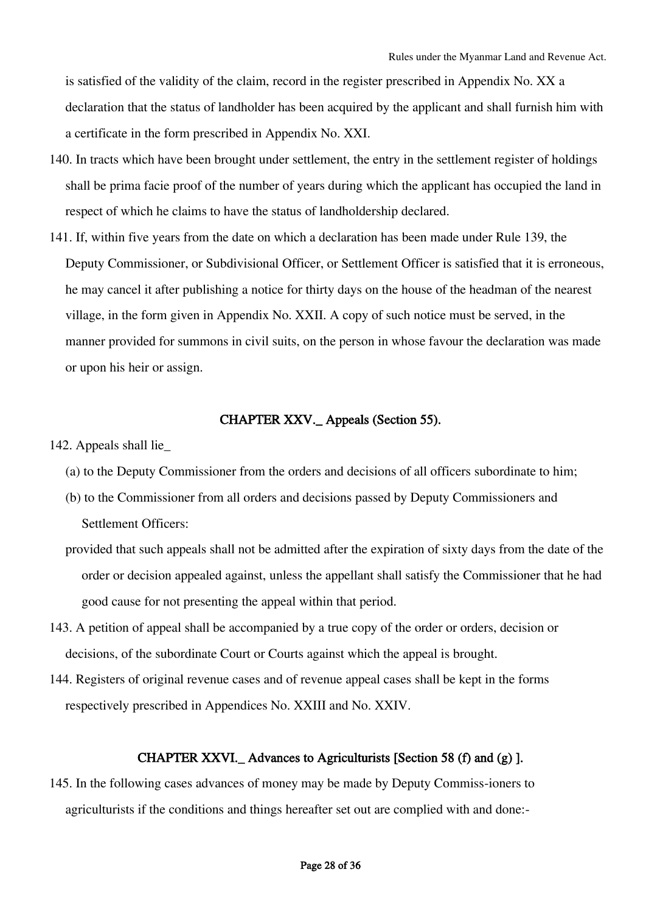is satisfied of the validity of the claim, record in the register prescribed in Appendix No. XX a declaration that the status of landholder has been acquired by the applicant and shall furnish him with a certificate in the form prescribed in Appendix No. XXI.

- 140. In tracts which have been brought under settlement, the entry in the settlement register of holdings shall be prima facie proof of the number of years during which the applicant has occupied the land in respect of which he claims to have the status of landholdership declared.
- 141. If, within five years from the date on which a declaration has been made under Rule 139, the Deputy Commissioner, or Subdivisional Officer, or Settlement Officer is satisfied that it is erroneous, he may cancel it after publishing a notice for thirty days on the house of the headman of the nearest village, in the form given in Appendix No. XXII. A copy of such notice must be served, in the manner provided for summons in civil suits, on the person in whose favour the declaration was made or upon his heir or assign.

# CHAPTER XXV.\_ Appeals (Section 55).

- 142. Appeals shall lie\_
	- (a) to the Deputy Commissioner from the orders and decisions of all officers subordinate to him;
	- (b) to the Commissioner from all orders and decisions passed by Deputy Commissioners and Settlement Officers:
	- provided that such appeals shall not be admitted after the expiration of sixty days from the date of the order or decision appealed against, unless the appellant shall satisfy the Commissioner that he had good cause for not presenting the appeal within that period.
- 143. A petition of appeal shall be accompanied by a true copy of the order or orders, decision or decisions, of the subordinate Court or Courts against which the appeal is brought.
- 144. Registers of original revenue cases and of revenue appeal cases shall be kept in the forms respectively prescribed in Appendices No. XXIII and No. XXIV.

# CHAPTER XXVI.\_ Advances to Agriculturists [Section 58 (f) and (g) ].

145. In the following cases advances of money may be made by Deputy Commiss-ioners to agriculturists if the conditions and things hereafter set out are complied with and done:-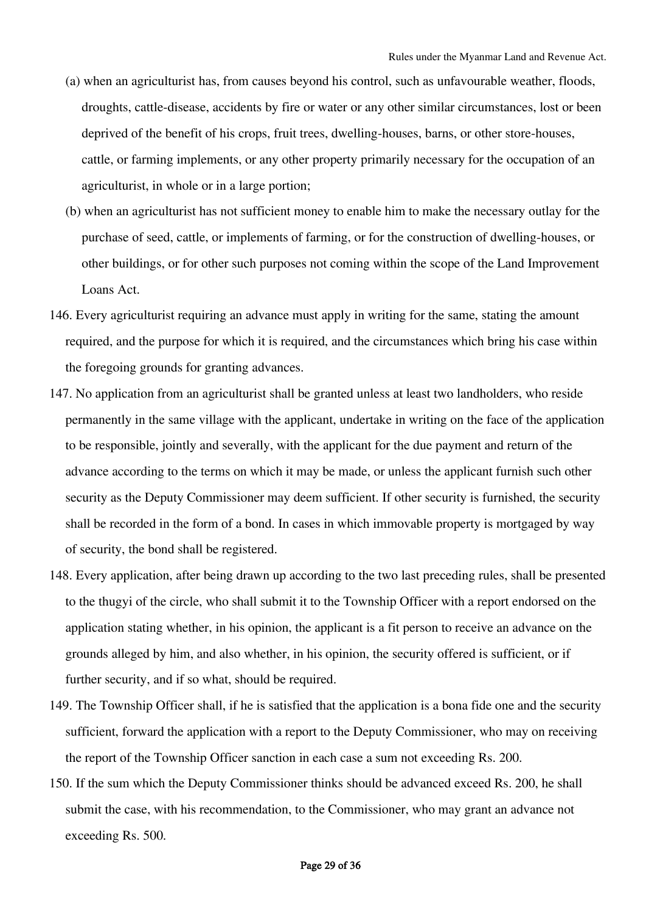- (a) when an agriculturist has, from causes beyond his control, such as unfavourable weather, floods, droughts, cattle-disease, accidents by fire or water or any other similar circumstances, lost or been deprived of the benefit of his crops, fruit trees, dwelling-houses, barns, or other store-houses, cattle, or farming implements, or any other property primarily necessary for the occupation of an agriculturist, in whole or in a large portion;
- (b) when an agriculturist has not sufficient money to enable him to make the necessary outlay for the purchase of seed, cattle, or implements of farming, or for the construction of dwelling-houses, or other buildings, or for other such purposes not coming within the scope of the Land Improvement Loans Act.
- 146. Every agriculturist requiring an advance must apply in writing for the same, stating the amount required, and the purpose for which it is required, and the circumstances which bring his case within the foregoing grounds for granting advances.
- 147. No application from an agriculturist shall be granted unless at least two landholders, who reside permanently in the same village with the applicant, undertake in writing on the face of the application to be responsible, jointly and severally, with the applicant for the due payment and return of the advance according to the terms on which it may be made, or unless the applicant furnish such other security as the Deputy Commissioner may deem sufficient. If other security is furnished, the security shall be recorded in the form of a bond. In cases in which immovable property is mortgaged by way of security, the bond shall be registered.
- 148. Every application, after being drawn up according to the two last preceding rules, shall be presented to the thugyi of the circle, who shall submit it to the Township Officer with a report endorsed on the application stating whether, in his opinion, the applicant is a fit person to receive an advance on the grounds alleged by him, and also whether, in his opinion, the security offered is sufficient, or if further security, and if so what, should be required.
- 149. The Township Officer shall, if he is satisfied that the application is a bona fide one and the security sufficient, forward the application with a report to the Deputy Commissioner, who may on receiving the report of the Township Officer sanction in each case a sum not exceeding Rs. 200.
- 150. If the sum which the Deputy Commissioner thinks should be advanced exceed Rs. 200, he shall submit the case, with his recommendation, to the Commissioner, who may grant an advance not exceeding Rs. 500.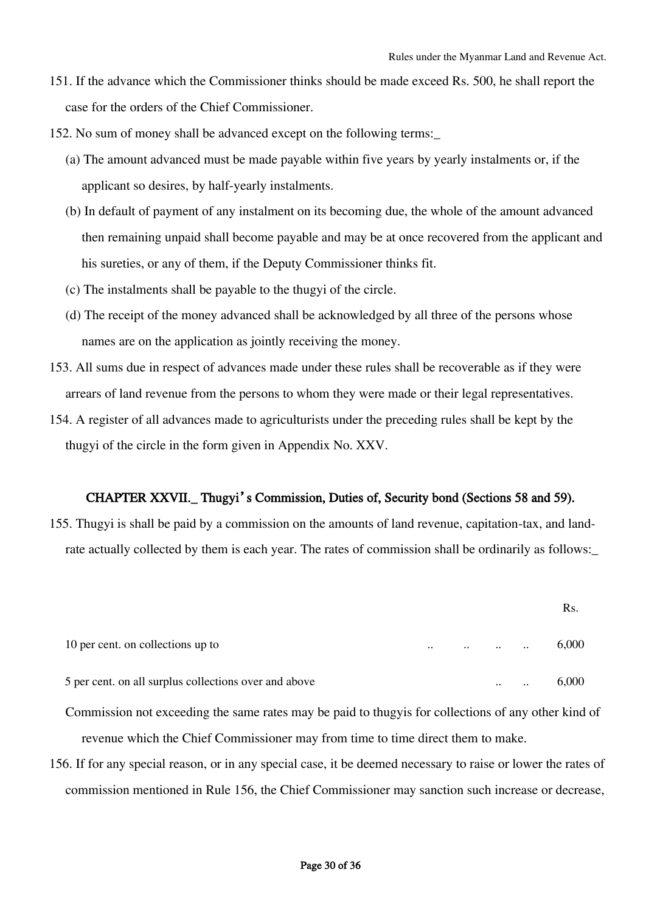- 151. If the advance which the Commissioner thinks should be made exceed Rs. 500, he shall report the case for the orders of the Chief Commissioner.
- 152. No sum of money shall be advanced except on the following terms:\_
	- (a) The amount advanced must be made payable within five years by yearly instalments or, if the applicant so desires, by half-yearly instalments.
	- (b) In default of payment of any instalment on its becoming due, the whole of the amount advanced then remaining unpaid shall become payable and may be at once recovered from the applicant and his sureties, or any of them, if the Deputy Commissioner thinks fit.
	- (c) The instalments shall be payable to the thugyi of the circle.
	- (d) The receipt of the money advanced shall be acknowledged by all three of the persons whose names are on the application as jointly receiving the money.
- 153. All sums due in respect of advances made under these rules shall be recoverable as if they were arrears of land revenue from the persons to whom they were made or their legal representatives.
- 154. A register of all advances made to agriculturists under the preceding rules shall be kept by the thugyi of the circle in the form given in Appendix No. XXV.

## CHAPTER XXVII.\_ Thugyi's Commission, Duties of, Security bond (Sections 58 and 59).

155. Thugyi is shall be paid by a commission on the amounts of land revenue, capitation-tax, and landrate actually collected by them is each year. The rates of commission shall be ordinarily as follows:\_

|                                                       |           |           |           |           | Rs.   |
|-------------------------------------------------------|-----------|-----------|-----------|-----------|-------|
| 10 per cent. on collections up to                     | $\ddotsc$ | $\ddotsc$ | $\ddotsc$ | $\ddotsc$ | 6,000 |
| 5 per cent. on all surplus collections over and above |           |           | $\cdot$ . | $\ddotsc$ | 6,000 |

- Commission not exceeding the same rates may be paid to thugyis for collections of any other kind of revenue which the Chief Commissioner may from time to time direct them to make.
- 156. If for any special reason, or in any special case, it be deemed necessary to raise or lower the rates of commission mentioned in Rule 156, the Chief Commissioner may sanction such increase or decrease,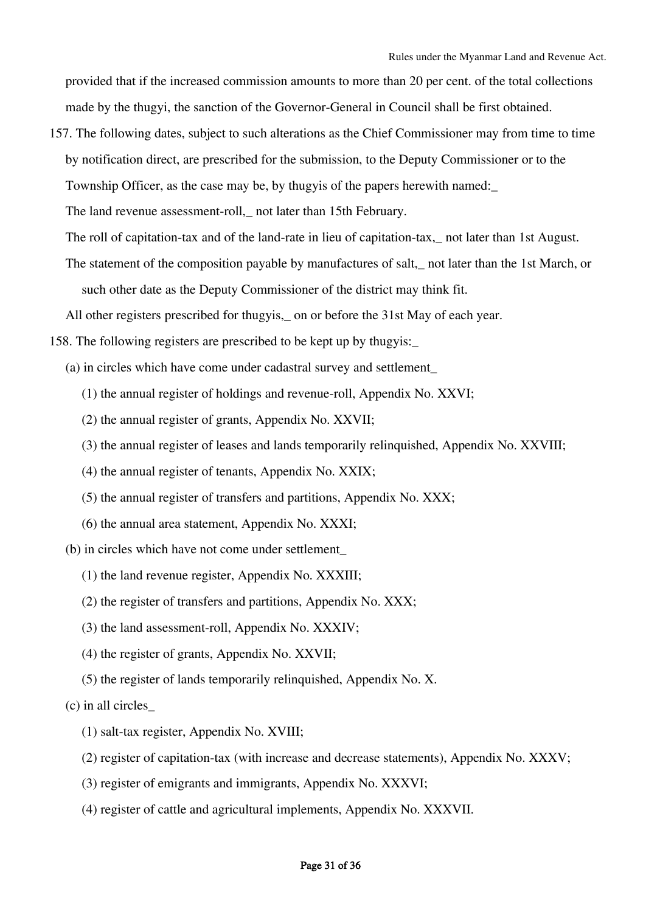provided that if the increased commission amounts to more than 20 per cent. of the total collections made by the thugyi, the sanction of the Governor-General in Council shall be first obtained.

157. The following dates, subject to such alterations as the Chief Commissioner may from time to time by notification direct, are prescribed for the submission, to the Deputy Commissioner or to the Township Officer, as the case may be, by thugyis of the papers herewith named:\_

The land revenue assessment-roll,\_ not later than 15th February.

- The roll of capitation-tax and of the land-rate in lieu of capitation-tax,\_ not later than 1st August.
- The statement of the composition payable by manufactures of salt,\_ not later than the 1st March, or such other date as the Deputy Commissioner of the district may think fit.

All other registers prescribed for thugyis,\_ on or before the 31st May of each year.

158. The following registers are prescribed to be kept up by thugyis:\_

- (a) in circles which have come under cadastral survey and settlement\_
	- (1) the annual register of holdings and revenue-roll, Appendix No. XXVI;
	- (2) the annual register of grants, Appendix No. XXVII;
	- (3) the annual register of leases and lands temporarily relinquished, Appendix No. XXVIII;
	- (4) the annual register of tenants, Appendix No. XXIX;
	- (5) the annual register of transfers and partitions, Appendix No. XXX;
	- (6) the annual area statement, Appendix No. XXXI;
- (b) in circles which have not come under settlement\_
	- (1) the land revenue register, Appendix No. XXXIII;
	- (2) the register of transfers and partitions, Appendix No. XXX;
	- (3) the land assessment-roll, Appendix No. XXXIV;
	- (4) the register of grants, Appendix No. XXVII;
	- (5) the register of lands temporarily relinquished, Appendix No. X.

(c) in all circles\_

- (1) salt-tax register, Appendix No. XVIII;
- (2) register of capitation-tax (with increase and decrease statements), Appendix No. XXXV;
- (3) register of emigrants and immigrants, Appendix No. XXXVI;
- (4) register of cattle and agricultural implements, Appendix No. XXXVII.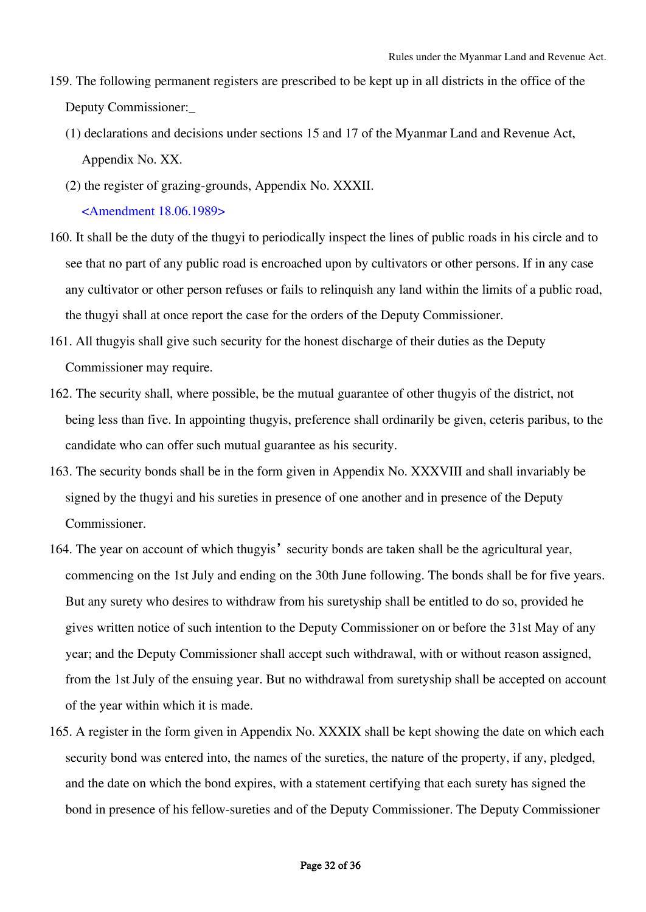- 159. The following permanent registers are prescribed to be kept up in all districts in the office of the Deputy Commissioner:\_
	- (1) declarations and decisions under sections 15 and 17 of the Myanmar Land and Revenue Act, Appendix No. XX.
	- (2) the register of grazing-grounds, Appendix No. XXXII. <Amendment 18.06.1989>
- 160. It shall be the duty of the thugyi to periodically inspect the lines of public roads in his circle and to see that no part of any public road is encroached upon by cultivators or other persons. If in any case any cultivator or other person refuses or fails to relinquish any land within the limits of a public road, the thugyi shall at once report the case for the orders of the Deputy Commissioner.
- 161. All thugyis shall give such security for the honest discharge of their duties as the Deputy Commissioner may require.
- 162. The security shall, where possible, be the mutual guarantee of other thugyis of the district, not being less than five. In appointing thugyis, preference shall ordinarily be given, ceteris paribus, to the candidate who can offer such mutual guarantee as his security.
- 163. The security bonds shall be in the form given in Appendix No. XXXVIII and shall invariably be signed by the thugyi and his sureties in presence of one another and in presence of the Deputy Commissioner.
- 164. The year on account of which thugyis' security bonds are taken shall be the agricultural year, commencing on the 1st July and ending on the 30th June following. The bonds shall be for five years. But any surety who desires to withdraw from his suretyship shall be entitled to do so, provided he gives written notice of such intention to the Deputy Commissioner on or before the 31st May of any year; and the Deputy Commissioner shall accept such withdrawal, with or without reason assigned, from the 1st July of the ensuing year. But no withdrawal from suretyship shall be accepted on account of the year within which it is made.
- 165. A register in the form given in Appendix No. XXXIX shall be kept showing the date on which each security bond was entered into, the names of the sureties, the nature of the property, if any, pledged, and the date on which the bond expires, with a statement certifying that each surety has signed the bond in presence of his fellow-sureties and of the Deputy Commissioner. The Deputy Commissioner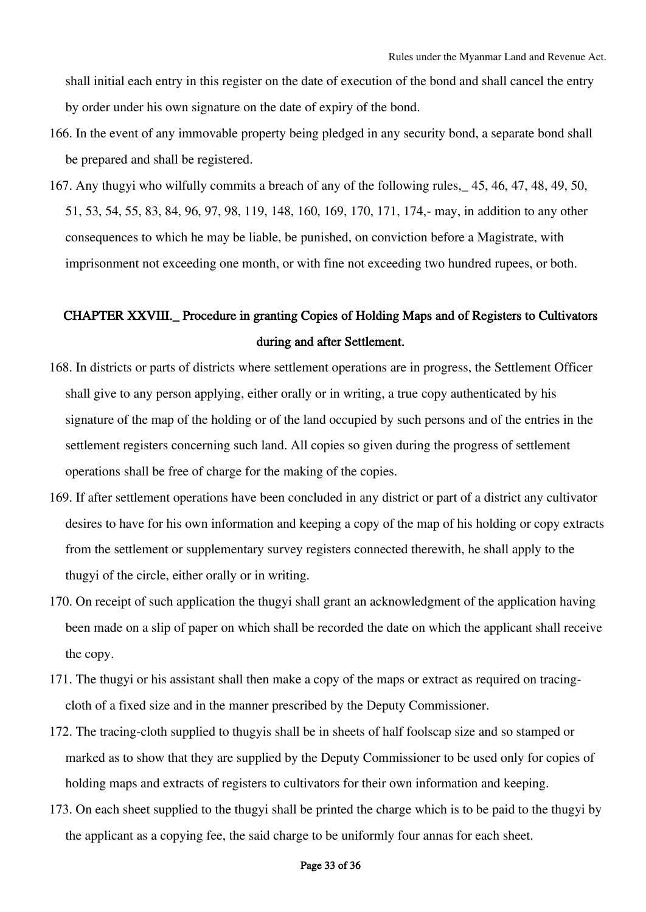shall initial each entry in this register on the date of execution of the bond and shall cancel the entry by order under his own signature on the date of expiry of the bond.

- 166. In the event of any immovable property being pledged in any security bond, a separate bond shall be prepared and shall be registered.
- 167. Any thugyi who wilfully commits a breach of any of the following rules,\_ 45, 46, 47, 48, 49, 50, 51, 53, 54, 55, 83, 84, 96, 97, 98, 119, 148, 160, 169, 170, 171, 174,- may, in addition to any other consequences to which he may be liable, be punished, on conviction before a Magistrate, with imprisonment not exceeding one month, or with fine not exceeding two hundred rupees, or both.

# CHAPTER XXVIII.\_ Procedure in granting Copies of Holding Maps and of Registers to Cultivators during and after Settlement.

- 168. In districts or parts of districts where settlement operations are in progress, the Settlement Officer shall give to any person applying, either orally or in writing, a true copy authenticated by his signature of the map of the holding or of the land occupied by such persons and of the entries in the settlement registers concerning such land. All copies so given during the progress of settlement operations shall be free of charge for the making of the copies.
- 169. If after settlement operations have been concluded in any district or part of a district any cultivator desires to have for his own information and keeping a copy of the map of his holding or copy extracts from the settlement or supplementary survey registers connected therewith, he shall apply to the thugyi of the circle, either orally or in writing.
- 170. On receipt of such application the thugyi shall grant an acknowledgment of the application having been made on a slip of paper on which shall be recorded the date on which the applicant shall receive the copy.
- 171. The thugyi or his assistant shall then make a copy of the maps or extract as required on tracingcloth of a fixed size and in the manner prescribed by the Deputy Commissioner.
- 172. The tracing-cloth supplied to thugyis shall be in sheets of half foolscap size and so stamped or marked as to show that they are supplied by the Deputy Commissioner to be used only for copies of holding maps and extracts of registers to cultivators for their own information and keeping.
- 173. On each sheet supplied to the thugyi shall be printed the charge which is to be paid to the thugyi by the applicant as a copying fee, the said charge to be uniformly four annas for each sheet.

### Page 33 of 36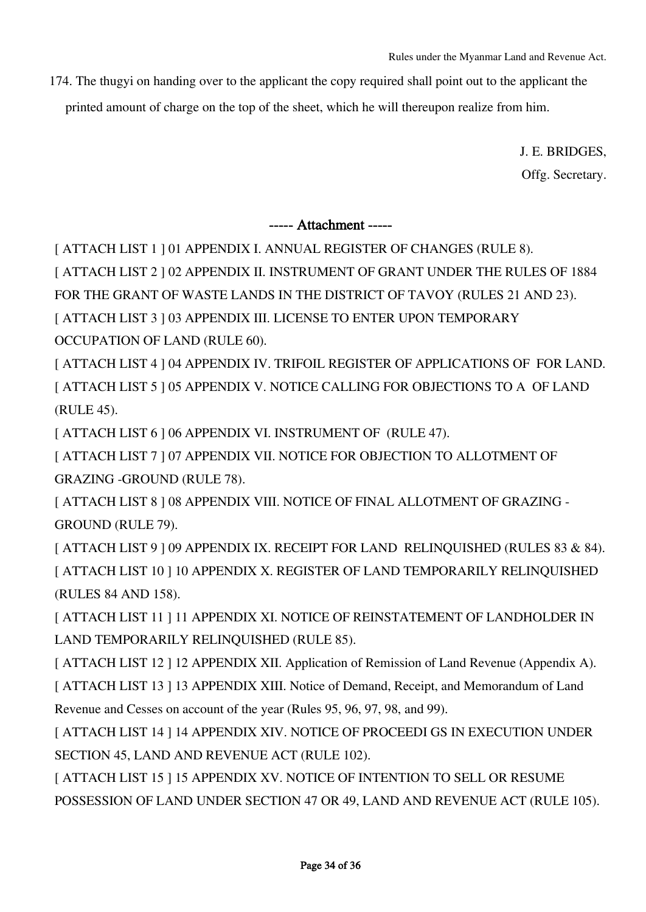Rules under the Myanmar Land and Revenue Act.

174. The thugyi on handing over to the applicant the copy required shall point out to the applicant the printed amount of charge on the top of the sheet, which he will thereupon realize from him.

> J. E. BRIDGES, Offg. Secretary.

----- Attachment -----

[ ATTACH LIST 1 ] 01 APPENDIX I. ANNUAL REGISTER OF CHANGES (RULE 8).

[ ATTACH LIST 2 ] 02 APPENDIX II. INSTRUMENT OF GRANT UNDER THE RULES OF 1884

FOR THE GRANT OF WASTE LANDS IN THE DISTRICT OF TAVOY (RULES 21 AND 23).

[ ATTACH LIST 3 ] 03 APPENDIX III. LICENSE TO ENTER UPON TEMPORARY OCCUPATION OF LAND (RULE 60).

[ ATTACH LIST 4 ] 04 APPENDIX IV. TRIFOIL REGISTER OF APPLICATIONS OF FOR LAND. [ ATTACH LIST 5 ] 05 APPENDIX V. NOTICE CALLING FOR OBJECTIONS TO A OF LAND (RULE 45).

[ ATTACH LIST 6 ] 06 APPENDIX VI. INSTRUMENT OF (RULE 47).

[ ATTACH LIST 7 ] 07 APPENDIX VII. NOTICE FOR OBJECTION TO ALLOTMENT OF GRAZING -GROUND (RULE 78).

[ ATTACH LIST 8 ] 08 APPENDIX VIII. NOTICE OF FINAL ALLOTMENT OF GRAZING - GROUND (RULE 79).

[ ATTACH LIST 9 ] 09 APPENDIX IX. RECEIPT FOR LAND RELINQUISHED (RULES 83 & 84). [ ATTACH LIST 10 ] 10 APPENDIX X. REGISTER OF LAND TEMPORARILY RELINQUISHED (RULES 84 AND 158).

[ ATTACH LIST 11 ] 11 APPENDIX XI. NOTICE OF REINSTATEMENT OF LANDHOLDER IN LAND TEMPORARILY RELINQUISHED (RULE 85).

[ ATTACH LIST 12 ] 12 APPENDIX XII. Application of Remission of Land Revenue (Appendix A).

[ ATTACH LIST 13 ] 13 APPENDIX XIII. Notice of Demand, Receipt, and Memorandum of Land Revenue and Cesses on account of the year (Rules 95, 96, 97, 98, and 99).

[ ATTACH LIST 14 ] 14 APPENDIX XIV. NOTICE OF PROCEEDI GS IN EXECUTION UNDER SECTION 45, LAND AND REVENUE ACT (RULE 102).

[ ATTACH LIST 15 ] 15 APPENDIX XV. NOTICE OF INTENTION TO SELL OR RESUME POSSESSION OF LAND UNDER SECTION 47 OR 49, LAND AND REVENUE ACT (RULE 105).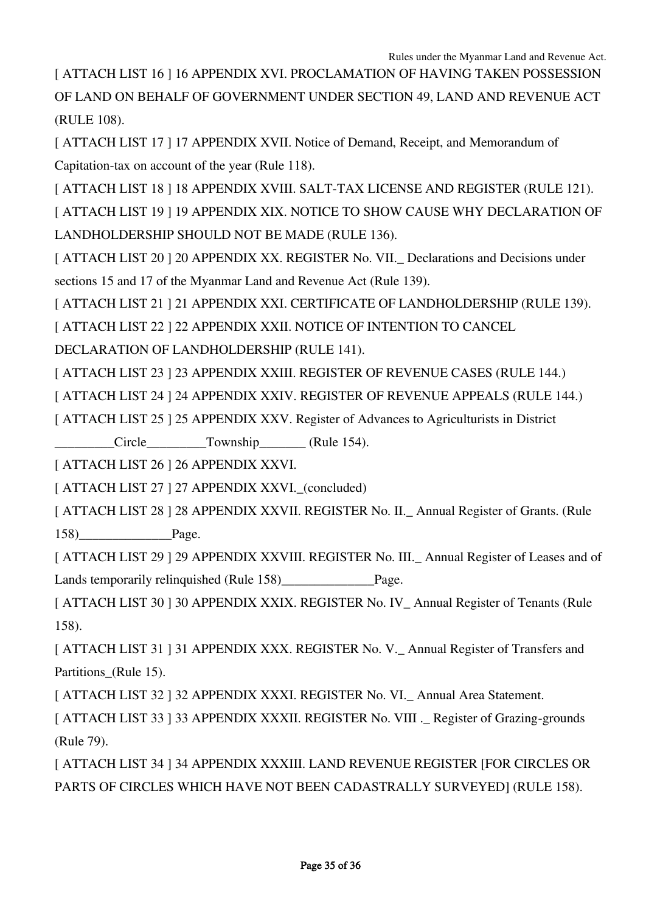[ ATTACH LIST 16 ] 16 APPENDIX XVI. PROCLAMATION OF HAVING TAKEN POSSESSION OF LAND ON BEHALF OF GOVERNMENT UNDER SECTION 49, LAND AND REVENUE ACT (RULE 108).

[ ATTACH LIST 17 ] 17 APPENDIX XVII. Notice of Demand, Receipt, and Memorandum of Capitation-tax on account of the year (Rule 118).

[ ATTACH LIST 18 ] 18 APPENDIX XVIII. SALT-TAX LICENSE AND REGISTER (RULE 121).

[ ATTACH LIST 19 ] 19 APPENDIX XIX. NOTICE TO SHOW CAUSE WHY DECLARATION OF LANDHOLDERSHIP SHOULD NOT BE MADE (RULE 136).

[ ATTACH LIST 20 ] 20 APPENDIX XX. REGISTER No. VII. Declarations and Decisions under sections 15 and 17 of the Myanmar Land and Revenue Act (Rule 139).

[ ATTACH LIST 21 ] 21 APPENDIX XXI. CERTIFICATE OF LANDHOLDERSHIP (RULE 139).

[ ATTACH LIST 22 ] 22 APPENDIX XXII. NOTICE OF INTENTION TO CANCEL

DECLARATION OF LANDHOLDERSHIP (RULE 141).

[ ATTACH LIST 23 ] 23 APPENDIX XXIII. REGISTER OF REVENUE CASES (RULE 144.)

[ ATTACH LIST 24 ] 24 APPENDIX XXIV. REGISTER OF REVENUE APPEALS (RULE 144.)

[ ATTACH LIST 25 ] 25 APPENDIX XXV. Register of Advances to Agriculturists in District

\_\_\_\_\_\_\_\_\_Circle\_\_\_\_\_\_\_\_\_Township\_\_\_\_\_\_\_ (Rule 154).

[ ATTACH LIST 26 ] 26 APPENDIX XXVI.

[ ATTACH LIST 27 ] 27 APPENDIX XXVI.\_(concluded)

[ ATTACH LIST 28 ] 28 APPENDIX XXVII. REGISTER No. II. \_ Annual Register of Grants. (Rule 158) Page.

[ ATTACH LIST 29 ] 29 APPENDIX XXVIII. REGISTER No. III.\_ Annual Register of Leases and of Lands temporarily relinquished (Rule 158)\_\_\_\_\_\_\_\_\_\_\_\_\_\_Page.

[ ATTACH LIST 30 ] 30 APPENDIX XXIX. REGISTER No. IV\_ Annual Register of Tenants (Rule 158).

[ ATTACH LIST 31 ] 31 APPENDIX XXX. REGISTER No. V. \_ Annual Register of Transfers and Partitions (Rule 15).

[ ATTACH LIST 32 ] 32 APPENDIX XXXI. REGISTER No. VI.\_ Annual Area Statement.

[ ATTACH LIST 33 ] 33 APPENDIX XXXII. REGISTER No. VIII .\_ Register of Grazing-grounds (Rule 79).

[ ATTACH LIST 34 ] 34 APPENDIX XXXIII. LAND REVENUE REGISTER [FOR CIRCLES OR PARTS OF CIRCLES WHICH HAVE NOT BEEN CADASTRALLY SURVEYED] (RULE 158).